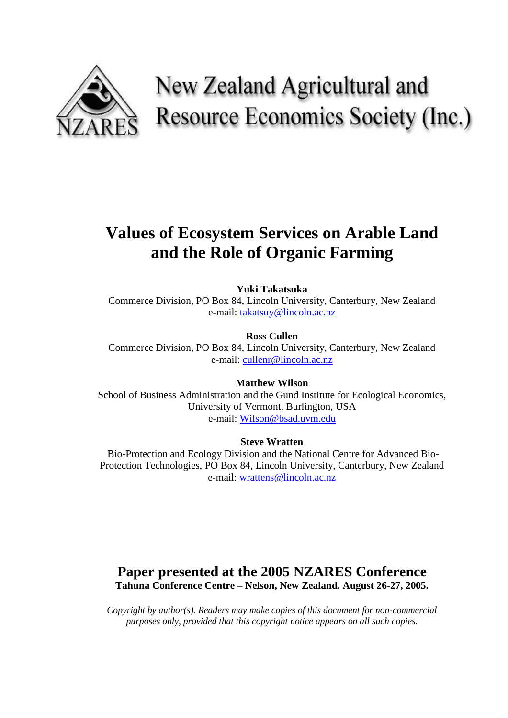

# New Zealand Agricultural and Resource Economics Society (Inc.)

# **Values of Ecosystem Services on Arable Land and the Role of Organic Farming**

**Yuki Takatsuka** 

Commerce Division, PO Box 84, Lincoln University, Canterbury, New Zealand e-mail: [takatsuy@lincoln.ac.nz](mailto:takatsuy@lincoln.ac.nz)

**Ross Cullen**  Commerce Division, PO Box 84, Lincoln University, Canterbury, New Zealand e-mail: [cullenr@lincoln.ac.nz](mailto:cullenr@lincoln.ac.nz)

**Matthew Wilson**  School of Business Administration and the Gund Institute for Ecological Economics, University of Vermont, Burlington, USA e-mail: [Wilson@bsad.uvm.edu](mailto:Wilson@bsad.uvm.edu)

**Steve Wratten** 

Bio-Protection and Ecology Division and the National Centre for Advanced Bio-Protection Technologies, PO Box 84, Lincoln University, Canterbury, New Zealand e-mail: [wrattens@lincoln.ac.nz](mailto:wrattens@lincoln.ac.nz)

## **Paper presented at the 2005 NZARES Conference Tahuna Conference Centre – Nelson, New Zealand. August 26-27, 2005.**

*Copyright by author(s). Readers may make copies of this document for non-commercial purposes only, provided that this copyright notice appears on all such copies.*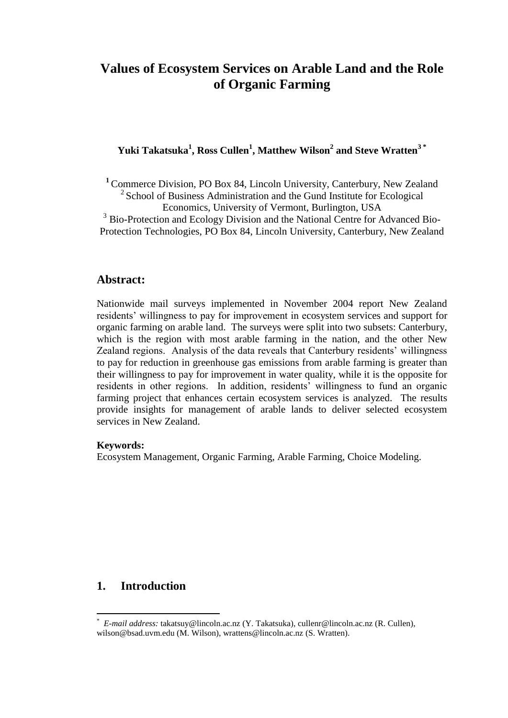## **Values of Ecosystem Services on Arable Land and the Role of Organic Farming**

**Yuki Takatsuka<sup>1</sup> , Ross Cullen<sup>1</sup> , Matthew Wilson<sup>2</sup> and Steve Wratten3 \***

**<sup>1</sup>** Commerce Division, PO Box 84, Lincoln University, Canterbury, New Zealand <sup>2</sup> School of Business Administration and the Gund Institute for Ecological Economics, University of Vermont, Burlington, USA

<sup>3</sup> Bio-Protection and Ecology Division and the National Centre for Advanced Bio-Protection Technologies, PO Box 84, Lincoln University, Canterbury, New Zealand

## **Abstract:**

Nationwide mail surveys implemented in November 2004 report New Zealand residents' willingness to pay for improvement in ecosystem services and support for organic farming on arable land. The surveys were split into two subsets: Canterbury, which is the region with most arable farming in the nation, and the other New Zealand regions. Analysis of the data reveals that Canterbury residents' willingness to pay for reduction in greenhouse gas emissions from arable farming is greater than their willingness to pay for improvement in water quality, while it is the opposite for residents in other regions. In addition, residents' willingness to fund an organic farming project that enhances certain ecosystem services is analyzed. The results provide insights for management of arable lands to deliver selected ecosystem services in New Zealand.

#### **Keywords:**

Ecosystem Management, Organic Farming, Arable Farming, Choice Modeling.

## **1. Introduction**

 $\overline{a}$ 

<sup>\*</sup> *E-mail address:* takatsuy@lincoln.ac.nz (Y. Takatsuka), cullenr@lincoln.ac.nz (R. Cullen), wilson@bsad.uvm.edu (M. Wilson), wrattens@lincoln.ac.nz (S. Wratten).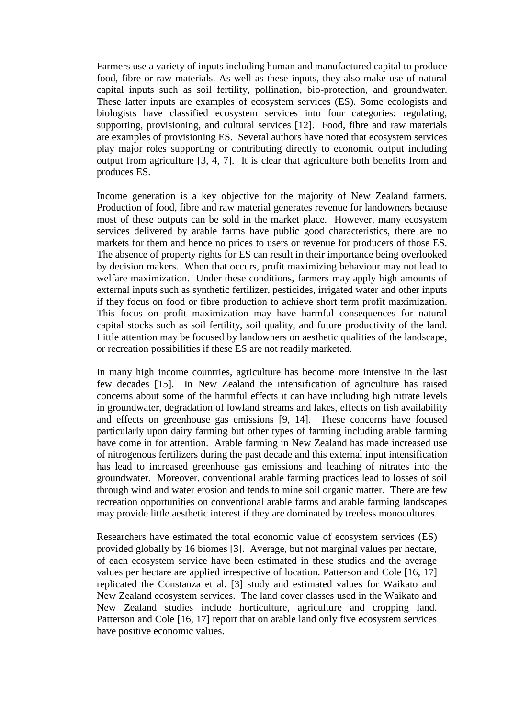Farmers use a variety of inputs including human and manufactured capital to produce food, fibre or raw materials. As well as these inputs, they also make use of natural capital inputs such as soil fertility, pollination, bio-protection, and groundwater. These latter inputs are examples of ecosystem services (ES). Some ecologists and biologists have classified ecosystem services into four categories: regulating, supporting, provisioning, and cultural services [12]. Food, fibre and raw materials are examples of provisioning ES. Several authors have noted that ecosystem services play major roles supporting or contributing directly to economic output including output from agriculture [3, 4, 7]. It is clear that agriculture both benefits from and produces ES.

Income generation is a key objective for the majority of New Zealand farmers. Production of food, fibre and raw material generates revenue for landowners because most of these outputs can be sold in the market place. However, many ecosystem services delivered by arable farms have public good characteristics, there are no markets for them and hence no prices to users or revenue for producers of those ES. The absence of property rights for ES can result in their importance being overlooked by decision makers. When that occurs, profit maximizing behaviour may not lead to welfare maximization. Under these conditions, farmers may apply high amounts of external inputs such as synthetic fertilizer, pesticides, irrigated water and other inputs if they focus on food or fibre production to achieve short term profit maximization. This focus on profit maximization may have harmful consequences for natural capital stocks such as soil fertility, soil quality, and future productivity of the land. Little attention may be focused by landowners on aesthetic qualities of the landscape, or recreation possibilities if these ES are not readily marketed.

In many high income countries, agriculture has become more intensive in the last few decades [15]. In New Zealand the intensification of agriculture has raised concerns about some of the harmful effects it can have including high nitrate levels in groundwater, degradation of lowland streams and lakes, effects on fish availability and effects on greenhouse gas emissions [9, 14]. These concerns have focused particularly upon dairy farming but other types of farming including arable farming have come in for attention. Arable farming in New Zealand has made increased use of nitrogenous fertilizers during the past decade and this external input intensification has lead to increased greenhouse gas emissions and leaching of nitrates into the groundwater. Moreover, conventional arable farming practices lead to losses of soil through wind and water erosion and tends to mine soil organic matter. There are few recreation opportunities on conventional arable farms and arable farming landscapes may provide little aesthetic interest if they are dominated by treeless monocultures.

Researchers have estimated the total economic value of ecosystem services (ES) provided globally by 16 biomes [3]. Average, but not marginal values per hectare, of each ecosystem service have been estimated in these studies and the average values per hectare are applied irrespective of location. Patterson and Cole [16, 17] replicated the Constanza et al. [3] study and estimated values for Waikato and New Zealand ecosystem services. The land cover classes used in the Waikato and New Zealand studies include horticulture, agriculture and cropping land. Patterson and Cole [16, 17] report that on arable land only five ecosystem services have positive economic values.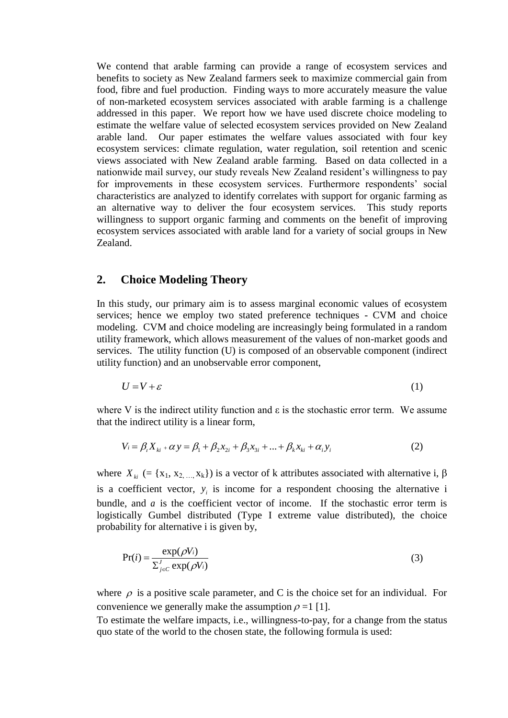We contend that arable farming can provide a range of ecosystem services and benefits to society as New Zealand farmers seek to maximize commercial gain from food, fibre and fuel production. Finding ways to more accurately measure the value of non-marketed ecosystem services associated with arable farming is a challenge addressed in this paper. We report how we have used discrete choice modeling to estimate the welfare value of selected ecosystem services provided on New Zealand arable land. Our paper estimates the welfare values associated with four key ecosystem services: climate regulation, water regulation, soil retention and scenic views associated with New Zealand arable farming. Based on data collected in a nationwide mail survey, our study reveals New Zealand resident's willingness to pay for improvements in these ecosystem services. Furthermore respondents' social characteristics are analyzed to identify correlates with support for organic farming as an alternative way to deliver the four ecosystem services. This study reports willingness to support organic farming and comments on the benefit of improving ecosystem services associated with arable land for a variety of social groups in New Zealand.

### **2. Choice Modeling Theory**

In this study, our primary aim is to assess marginal economic values of ecosystem services; hence we employ two stated preference techniques - CVM and choice modeling. CVM and choice modeling are increasingly being formulated in a random utility framework, which allows measurement of the values of non-market goods and services. The utility function (U) is composed of an observable component (indirect utility function) and an unobservable error component,

$$
U = V + \varepsilon \tag{1}
$$

where V is the indirect utility function and  $\varepsilon$  is the stochastic error term. We assume that the indirect utility is a linear form,

$$
V_i = \beta_i X_{ki} + \alpha y = \beta_1 + \beta_2 x_{2i} + \beta_3 x_{3i} + ... + \beta_k x_{ki} + \alpha_i y_i
$$
 (2)

where  $X_{ki}$  (= {x<sub>1</sub>, x<sub>2, ...</sub>, x<sub>k</sub>}) is a vector of k attributes associated with alternative i,  $\beta$ is a coefficient vector,  $y_i$  is income for a respondent choosing the alternative i bundle, and  $a$  is the coefficient vector of income. If the stochastic error term is logistically Gumbel distributed (Type I extreme value distributed), the choice probability for alternative i is given by,

$$
Pr(i) = \frac{\exp(\rho V_i)}{\sum_{j \in C}^{J} \exp(\rho V_i)}
$$
(3)

where  $\rho$  is a positive scale parameter, and C is the choice set for an individual. For convenience we generally make the assumption  $\rho = 1$  [1].

To estimate the welfare impacts, i.e., willingness-to-pay, for a change from the status quo state of the world to the chosen state, the following formula is used: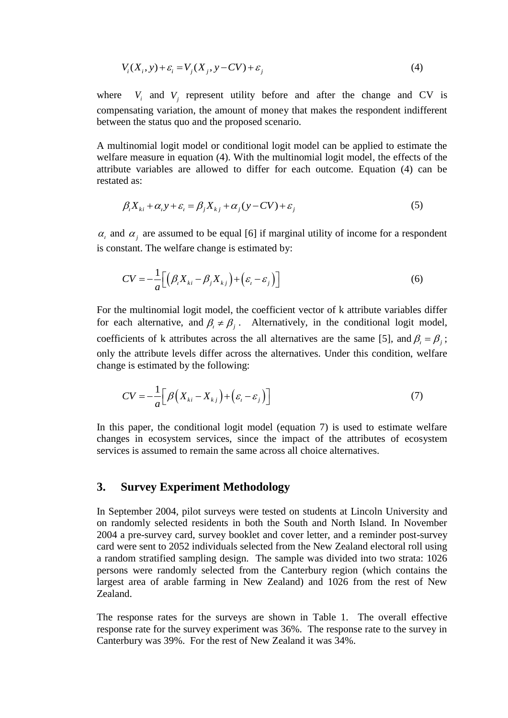$$
V_i(X_i, y) + \varepsilon_i = V_j(X_j, y - CV) + \varepsilon_j
$$
\n<sup>(4)</sup>

where  $V_i$  and  $V_j$  represent utility before and after the change and CV is compensating variation, the amount of money that makes the respondent indifferent between the status quo and the proposed scenario.

A multinomial logit model or conditional logit model can be applied to estimate the welfare measure in equation (4). With the multinomial logit model, the effects of the attribute variables are allowed to differ for each outcome. Equation (4) can be restated as:

$$
\beta_i X_{ki} + \alpha_i y + \varepsilon_i = \beta_j X_{kj} + \alpha_j (y - CV) + \varepsilon_j
$$
\n(5)

 $\alpha_i$  and  $\alpha_j$  are assumed to be equal [6] if marginal utility of income for a respondent is constant. The welfare change is estimated by:

$$
CV = -\frac{1}{a} \Big[ \Big( \beta_i X_{ki} - \beta_j X_{kj} \Big) + \Big( \varepsilon_i - \varepsilon_j \Big) \Big]
$$
 (6)

For the multinomial logit model, the coefficient vector of k attribute variables differ for each alternative, and  $\beta_i \neq \beta_j$ . Alternatively, in the conditional logit model, coefficients of k attributes across the all alternatives are the same [5], and  $\beta_i = \beta_j$ ; only the attribute levels differ across the alternatives. Under this condition, welfare change is estimated by the following:

$$
CV = -\frac{1}{a} \Big[ \beta \Big( X_{ki} - X_{kj} \Big) + \Big( \varepsilon_i - \varepsilon_j \Big) \Big] \tag{7}
$$

In this paper, the conditional logit model (equation 7) is used to estimate welfare changes in ecosystem services, since the impact of the attributes of ecosystem services is assumed to remain the same across all choice alternatives.

#### **3. Survey Experiment Methodology**

In September 2004, pilot surveys were tested on students at Lincoln University and on randomly selected residents in both the South and North Island. In November 2004 a pre-survey card, survey booklet and cover letter, and a reminder post-survey card were sent to 2052 individuals selected from the New Zealand electoral roll using a random stratified sampling design. The sample was divided into two strata: 1026 persons were randomly selected from the Canterbury region (which contains the largest area of arable farming in New Zealand) and 1026 from the rest of New Zealand.

The response rates for the surveys are shown in Table 1. The overall effective response rate for the survey experiment was 36%. The response rate to the survey in Canterbury was 39%. For the rest of New Zealand it was 34%.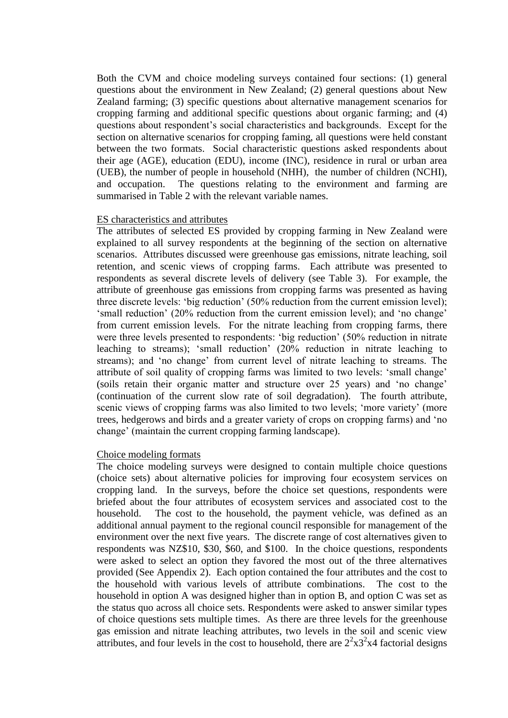Both the CVM and choice modeling surveys contained four sections: (1) general questions about the environment in New Zealand; (2) general questions about New Zealand farming; (3) specific questions about alternative management scenarios for cropping farming and additional specific questions about organic farming; and (4) questions about respondent"s social characteristics and backgrounds. Except for the section on alternative scenarios for cropping faming, all questions were held constant between the two formats. Social characteristic questions asked respondents about their age (AGE), education (EDU), income (INC), residence in rural or urban area (UEB), the number of people in household (NHH), the number of children (NCHI), and occupation. The questions relating to the environment and farming are summarised in Table 2 with the relevant variable names.

#### ES characteristics and attributes

The attributes of selected ES provided by cropping farming in New Zealand were explained to all survey respondents at the beginning of the section on alternative scenarios. Attributes discussed were greenhouse gas emissions, nitrate leaching, soil retention, and scenic views of cropping farms. Each attribute was presented to respondents as several discrete levels of delivery (see Table 3). For example, the attribute of greenhouse gas emissions from cropping farms was presented as having three discrete levels: "big reduction" (50% reduction from the current emission level); "small reduction" (20% reduction from the current emission level); and "no change" from current emission levels. For the nitrate leaching from cropping farms, there were three levels presented to respondents: 'big reduction' (50% reduction in nitrate leaching to streams); "small reduction" (20% reduction in nitrate leaching to streams); and "no change" from current level of nitrate leaching to streams. The attribute of soil quality of cropping farms was limited to two levels: "small change" (soils retain their organic matter and structure over 25 years) and "no change" (continuation of the current slow rate of soil degradation). The fourth attribute, scenic views of cropping farms was also limited to two levels; "more variety" (more trees, hedgerows and birds and a greater variety of crops on cropping farms) and "no change" (maintain the current cropping farming landscape).

#### Choice modeling formats

The choice modeling surveys were designed to contain multiple choice questions (choice sets) about alternative policies for improving four ecosystem services on cropping land. In the surveys, before the choice set questions, respondents were briefed about the four attributes of ecosystem services and associated cost to the household. The cost to the household, the payment vehicle, was defined as an additional annual payment to the regional council responsible for management of the environment over the next five years. The discrete range of cost alternatives given to respondents was NZ\$10, \$30, \$60, and \$100. In the choice questions, respondents were asked to select an option they favored the most out of the three alternatives provided (See Appendix 2). Each option contained the four attributes and the cost to the household with various levels of attribute combinations. The cost to the household in option A was designed higher than in option B, and option C was set as the status quo across all choice sets. Respondents were asked to answer similar types of choice questions sets multiple times. As there are three levels for the greenhouse gas emission and nitrate leaching attributes, two levels in the soil and scenic view attributes, and four levels in the cost to household, there are  $2^2 \times 3^2 \times 4$  factorial designs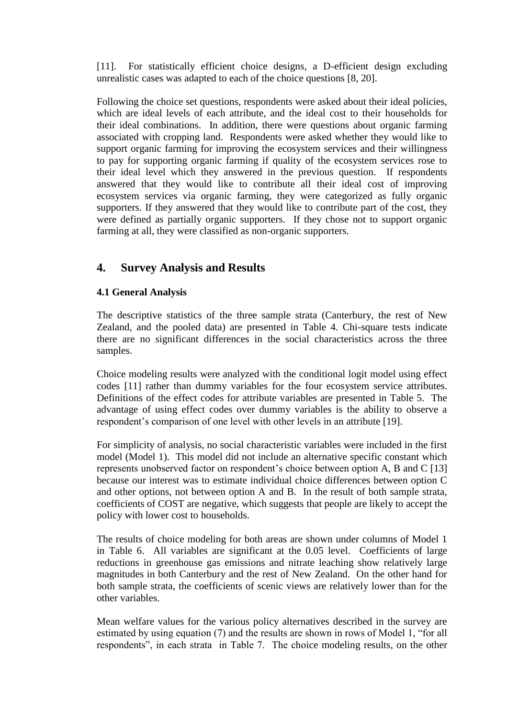[11]. For statistically efficient choice designs, a D-efficient design excluding unrealistic cases was adapted to each of the choice questions [8, 20].

Following the choice set questions, respondents were asked about their ideal policies, which are ideal levels of each attribute, and the ideal cost to their households for their ideal combinations. In addition, there were questions about organic farming associated with cropping land. Respondents were asked whether they would like to support organic farming for improving the ecosystem services and their willingness to pay for supporting organic farming if quality of the ecosystem services rose to their ideal level which they answered in the previous question. If respondents answered that they would like to contribute all their ideal cost of improving ecosystem services via organic farming, they were categorized as fully organic supporters. If they answered that they would like to contribute part of the cost, they were defined as partially organic supporters. If they chose not to support organic farming at all, they were classified as non-organic supporters.

## **4. Survey Analysis and Results**

## **4.1 General Analysis**

The descriptive statistics of the three sample strata (Canterbury, the rest of New Zealand, and the pooled data) are presented in Table 4. Chi-square tests indicate there are no significant differences in the social characteristics across the three samples.

Choice modeling results were analyzed with the conditional logit model using effect codes [11] rather than dummy variables for the four ecosystem service attributes. Definitions of the effect codes for attribute variables are presented in Table 5. The advantage of using effect codes over dummy variables is the ability to observe a respondent's comparison of one level with other levels in an attribute [19].

For simplicity of analysis, no social characteristic variables were included in the first model (Model 1). This model did not include an alternative specific constant which represents unobserved factor on respondent's choice between option A, B and C [13] because our interest was to estimate individual choice differences between option C and other options, not between option A and B. In the result of both sample strata, coefficients of COST are negative, which suggests that people are likely to accept the policy with lower cost to households.

The results of choice modeling for both areas are shown under columns of Model 1 in Table 6. All variables are significant at the 0.05 level. Coefficients of large reductions in greenhouse gas emissions and nitrate leaching show relatively large magnitudes in both Canterbury and the rest of New Zealand. On the other hand for both sample strata, the coefficients of scenic views are relatively lower than for the other variables.

Mean welfare values for the various policy alternatives described in the survey are estimated by using equation (7) and the results are shown in rows of Model 1, "for all respondents", in each strata in Table 7. The choice modeling results, on the other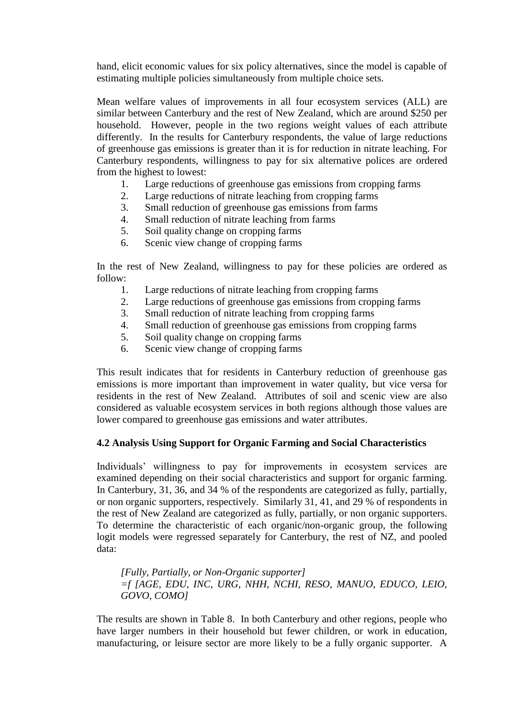hand, elicit economic values for six policy alternatives, since the model is capable of estimating multiple policies simultaneously from multiple choice sets.

Mean welfare values of improvements in all four ecosystem services (ALL) are similar between Canterbury and the rest of New Zealand, which are around \$250 per household. However, people in the two regions weight values of each attribute differently. In the results for Canterbury respondents, the value of large reductions of greenhouse gas emissions is greater than it is for reduction in nitrate leaching. For Canterbury respondents, willingness to pay for six alternative polices are ordered from the highest to lowest:

- 1. Large reductions of greenhouse gas emissions from cropping farms<br>2. Large reductions of nitrate leaching from cropping farms
- Large reductions of nitrate leaching from cropping farms
- 3. Small reduction of greenhouse gas emissions from farms
- 4. Small reduction of nitrate leaching from farms
- 5. Soil quality change on cropping farms
- 6. Scenic view change of cropping farms

In the rest of New Zealand, willingness to pay for these policies are ordered as follow:

- 1. Large reductions of nitrate leaching from cropping farms
- 2. Large reductions of greenhouse gas emissions from cropping farms
- 3. Small reduction of nitrate leaching from cropping farms
- 4. Small reduction of greenhouse gas emissions from cropping farms
- 5. Soil quality change on cropping farms
- 6. Scenic view change of cropping farms

This result indicates that for residents in Canterbury reduction of greenhouse gas emissions is more important than improvement in water quality, but vice versa for residents in the rest of New Zealand. Attributes of soil and scenic view are also considered as valuable ecosystem services in both regions although those values are lower compared to greenhouse gas emissions and water attributes.

#### **4.2 Analysis Using Support for Organic Farming and Social Characteristics**

Individuals" willingness to pay for improvements in ecosystem services are examined depending on their social characteristics and support for organic farming. In Canterbury, 31, 36, and 34 % of the respondents are categorized as fully, partially, or non organic supporters, respectively. Similarly 31, 41, and 29 % of respondents in the rest of New Zealand are categorized as fully, partially, or non organic supporters. To determine the characteristic of each organic/non-organic group, the following logit models were regressed separately for Canterbury, the rest of NZ, and pooled data:

*[Fully, Partially, or Non-Organic supporter] =f [AGE, EDU, INC, URG, NHH, NCHI, RESO, MANUO, EDUCO, LEIO, GOVO, COMO]* 

The results are shown in Table 8. In both Canterbury and other regions, people who have larger numbers in their household but fewer children, or work in education, manufacturing, or leisure sector are more likely to be a fully organic supporter. A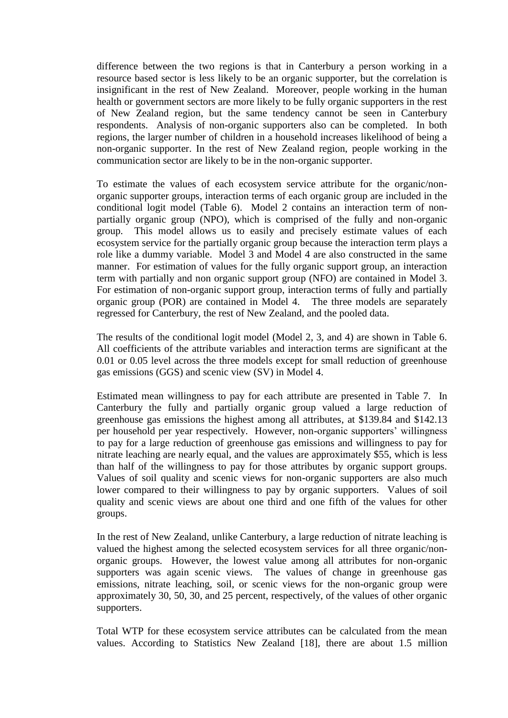difference between the two regions is that in Canterbury a person working in a resource based sector is less likely to be an organic supporter, but the correlation is insignificant in the rest of New Zealand. Moreover, people working in the human health or government sectors are more likely to be fully organic supporters in the rest of New Zealand region, but the same tendency cannot be seen in Canterbury respondents. Analysis of non-organic supporters also can be completed. In both regions, the larger number of children in a household increases likelihood of being a non-organic supporter. In the rest of New Zealand region, people working in the communication sector are likely to be in the non-organic supporter.

To estimate the values of each ecosystem service attribute for the organic/nonorganic supporter groups, interaction terms of each organic group are included in the conditional logit model (Table 6). Model 2 contains an interaction term of nonpartially organic group (NPO), which is comprised of the fully and non-organic group. This model allows us to easily and precisely estimate values of each ecosystem service for the partially organic group because the interaction term plays a role like a dummy variable. Model 3 and Model 4 are also constructed in the same manner. For estimation of values for the fully organic support group, an interaction term with partially and non organic support group (NFO) are contained in Model 3. For estimation of non-organic support group, interaction terms of fully and partially organic group (POR) are contained in Model 4. The three models are separately regressed for Canterbury, the rest of New Zealand, and the pooled data.

The results of the conditional logit model (Model 2, 3, and 4) are shown in Table 6. All coefficients of the attribute variables and interaction terms are significant at the 0.01 or 0.05 level across the three models except for small reduction of greenhouse gas emissions (GGS) and scenic view (SV) in Model 4.

Estimated mean willingness to pay for each attribute are presented in Table 7. In Canterbury the fully and partially organic group valued a large reduction of greenhouse gas emissions the highest among all attributes, at \$139.84 and \$142.13 per household per year respectively. However, non-organic supporters' willingness to pay for a large reduction of greenhouse gas emissions and willingness to pay for nitrate leaching are nearly equal, and the values are approximately \$55, which is less than half of the willingness to pay for those attributes by organic support groups. Values of soil quality and scenic views for non-organic supporters are also much lower compared to their willingness to pay by organic supporters. Values of soil quality and scenic views are about one third and one fifth of the values for other groups.

In the rest of New Zealand, unlike Canterbury, a large reduction of nitrate leaching is valued the highest among the selected ecosystem services for all three organic/nonorganic groups. However, the lowest value among all attributes for non-organic supporters was again scenic views. The values of change in greenhouse gas emissions, nitrate leaching, soil, or scenic views for the non-organic group were approximately 30, 50, 30, and 25 percent, respectively, of the values of other organic supporters.

Total WTP for these ecosystem service attributes can be calculated from the mean values. According to Statistics New Zealand [18], there are about 1.5 million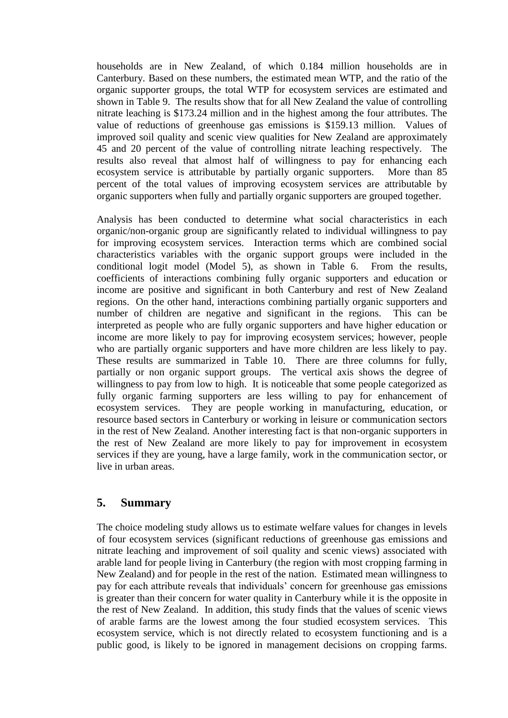households are in New Zealand, of which 0.184 million households are in Canterbury. Based on these numbers, the estimated mean WTP, and the ratio of the organic supporter groups, the total WTP for ecosystem services are estimated and shown in Table 9. The results show that for all New Zealand the value of controlling nitrate leaching is \$173.24 million and in the highest among the four attributes. The value of reductions of greenhouse gas emissions is \$159.13 million. Values of improved soil quality and scenic view qualities for New Zealand are approximately 45 and 20 percent of the value of controlling nitrate leaching respectively. The results also reveal that almost half of willingness to pay for enhancing each ecosystem service is attributable by partially organic supporters. More than 85 percent of the total values of improving ecosystem services are attributable by organic supporters when fully and partially organic supporters are grouped together.

Analysis has been conducted to determine what social characteristics in each organic/non-organic group are significantly related to individual willingness to pay for improving ecosystem services. Interaction terms which are combined social characteristics variables with the organic support groups were included in the conditional logit model (Model 5), as shown in Table 6. From the results, coefficients of interactions combining fully organic supporters and education or income are positive and significant in both Canterbury and rest of New Zealand regions. On the other hand, interactions combining partially organic supporters and number of children are negative and significant in the regions. This can be interpreted as people who are fully organic supporters and have higher education or income are more likely to pay for improving ecosystem services; however, people who are partially organic supporters and have more children are less likely to pay. These results are summarized in Table 10. There are three columns for fully, partially or non organic support groups. The vertical axis shows the degree of willingness to pay from low to high. It is noticeable that some people categorized as fully organic farming supporters are less willing to pay for enhancement of ecosystem services. They are people working in manufacturing, education, or resource based sectors in Canterbury or working in leisure or communication sectors in the rest of New Zealand. Another interesting fact is that non-organic supporters in the rest of New Zealand are more likely to pay for improvement in ecosystem services if they are young, have a large family, work in the communication sector, or live in urban areas.

## **5. Summary**

The choice modeling study allows us to estimate welfare values for changes in levels of four ecosystem services (significant reductions of greenhouse gas emissions and nitrate leaching and improvement of soil quality and scenic views) associated with arable land for people living in Canterbury (the region with most cropping farming in New Zealand) and for people in the rest of the nation. Estimated mean willingness to pay for each attribute reveals that individuals" concern for greenhouse gas emissions is greater than their concern for water quality in Canterbury while it is the opposite in the rest of New Zealand. In addition, this study finds that the values of scenic views of arable farms are the lowest among the four studied ecosystem services. This ecosystem service, which is not directly related to ecosystem functioning and is a public good, is likely to be ignored in management decisions on cropping farms.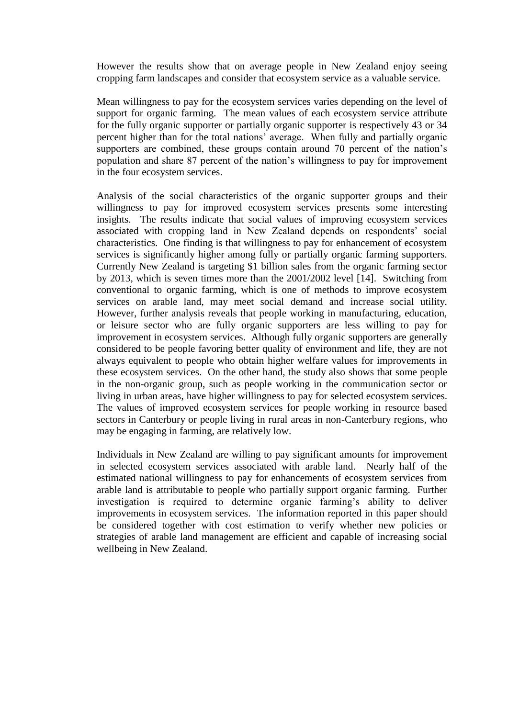However the results show that on average people in New Zealand enjoy seeing cropping farm landscapes and consider that ecosystem service as a valuable service.

Mean willingness to pay for the ecosystem services varies depending on the level of support for organic farming. The mean values of each ecosystem service attribute for the fully organic supporter or partially organic supporter is respectively 43 or 34 percent higher than for the total nations" average. When fully and partially organic supporters are combined, these groups contain around 70 percent of the nation's population and share 87 percent of the nation"s willingness to pay for improvement in the four ecosystem services.

Analysis of the social characteristics of the organic supporter groups and their willingness to pay for improved ecosystem services presents some interesting insights. The results indicate that social values of improving ecosystem services associated with cropping land in New Zealand depends on respondents' social characteristics. One finding is that willingness to pay for enhancement of ecosystem services is significantly higher among fully or partially organic farming supporters. Currently New Zealand is targeting \$1 billion sales from the organic farming sector by 2013, which is seven times more than the 2001/2002 level [14]. Switching from conventional to organic farming, which is one of methods to improve ecosystem services on arable land, may meet social demand and increase social utility. However, further analysis reveals that people working in manufacturing, education, or leisure sector who are fully organic supporters are less willing to pay for improvement in ecosystem services. Although fully organic supporters are generally considered to be people favoring better quality of environment and life, they are not always equivalent to people who obtain higher welfare values for improvements in these ecosystem services. On the other hand, the study also shows that some people in the non-organic group, such as people working in the communication sector or living in urban areas, have higher willingness to pay for selected ecosystem services. The values of improved ecosystem services for people working in resource based sectors in Canterbury or people living in rural areas in non-Canterbury regions, who may be engaging in farming, are relatively low.

Individuals in New Zealand are willing to pay significant amounts for improvement in selected ecosystem services associated with arable land. Nearly half of the estimated national willingness to pay for enhancements of ecosystem services from arable land is attributable to people who partially support organic farming. Further investigation is required to determine organic farming"s ability to deliver improvements in ecosystem services. The information reported in this paper should be considered together with cost estimation to verify whether new policies or strategies of arable land management are efficient and capable of increasing social wellbeing in New Zealand.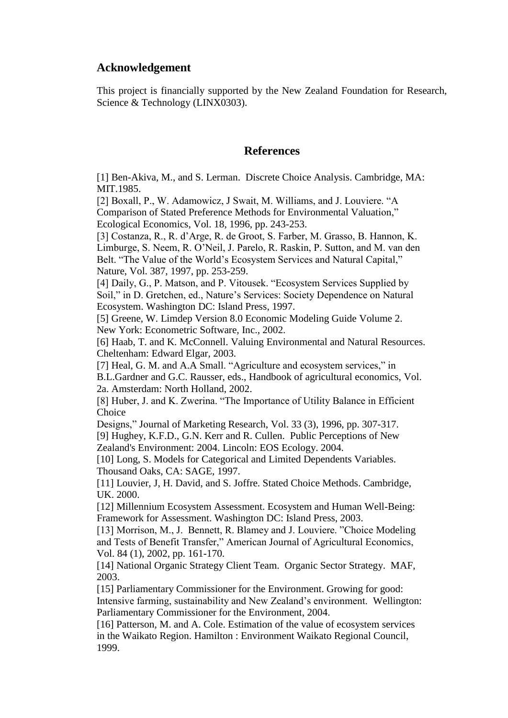## **Acknowledgement**

This project is financially supported by the New Zealand Foundation for Research, Science & Technology (LINX0303).

## **References**

[1] Ben-Akiva, M., and S. Lerman. Discrete Choice Analysis. Cambridge, MA: MIT.1985.

[2] Boxall, P., W. Adamowicz, J Swait, M. Williams, and J. Louviere. "A Comparison of Stated Preference Methods for Environmental Valuation," Ecological Economics, Vol. 18, 1996, pp. 243-253.

[3] Costanza, R., R. d"Arge, R. de Groot, S. Farber, M. Grasso, B. Hannon, K. Limburge, S. Neem, R. O"Neil, J. Parelo, R. Raskin, P. Sutton, and M. van den Belt. "The Value of the World"s Ecosystem Services and Natural Capital," Nature, Vol. 387, 1997, pp. 253-259.

[4] Daily, G., P. Matson, and P. Vitousek. "Ecosystem Services Supplied by Soil," in D. Gretchen, ed., Nature's Services: Society Dependence on Natural Ecosystem. Washington DC: Island Press, 1997.

[5] Greene, W. Limdep Version 8.0 Economic Modeling Guide Volume 2. New York: Econometric Software, Inc., 2002.

[6] Haab, T. and K. McConnell. Valuing Environmental and Natural Resources. Cheltenham: Edward Elgar, 2003.

[7] Heal, G. M. and A.A Small. "Agriculture and ecosystem services," in B.L.Gardner and G.C. Rausser, eds., Handbook of agricultural economics, Vol. 2a. Amsterdam: North Holland, 2002.

[8] Huber, J. and K. Zwerina. "The Importance of Utility Balance in Efficient Choice

Designs," Journal of Marketing Research, Vol. 33 (3), 1996, pp. 307-317. [9] Hughey, K.F.D., G.N. Kerr and R. Cullen. Public Perceptions of New Zealand's Environment: 2004. Lincoln: EOS Ecology. 2004.

[10] Long, S. Models for Categorical and Limited Dependents Variables. Thousand Oaks, CA: SAGE, 1997.

[11] Louvier, J, H. David, and S. Joffre. Stated Choice Methods. Cambridge, UK. 2000.

[12] Millennium Ecosystem Assessment. Ecosystem and Human Well-Being: Framework for Assessment. Washington DC: Island Press, 2003.

[13] Morrison, M., J. Bennett, R. Blamey and J. Louviere. "Choice Modeling and Tests of Benefit Transfer," American Journal of Agricultural Economics, Vol. 84 (1), 2002, pp. 161-170.

[14] National Organic Strategy Client Team. Organic Sector Strategy. MAF, 2003.

[15] Parliamentary Commissioner for the Environment. Growing for good: Intensive farming, sustainability and New Zealand"s environment. Wellington: Parliamentary Commissioner for the Environment, 2004.

[16] Patterson, M. and A. Cole. Estimation of the value of ecosystem services in the Waikato Region. Hamilton : Environment Waikato Regional Council, 1999.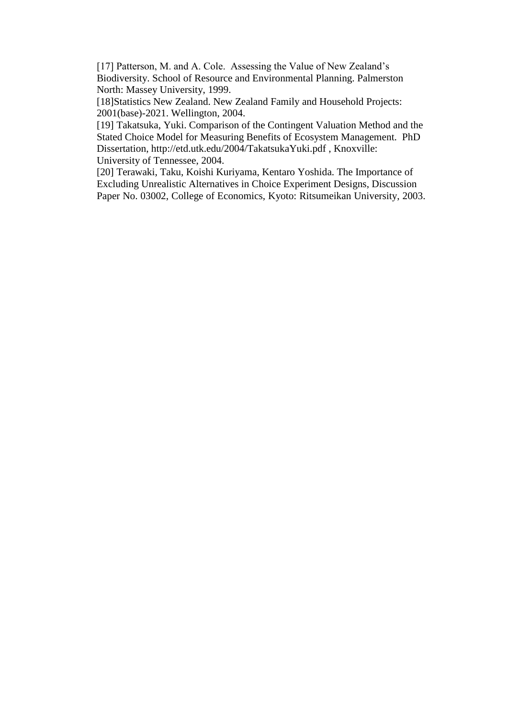[17] Patterson, M. and A. Cole. Assessing the Value of New Zealand's Biodiversity. School of Resource and Environmental Planning. Palmerston North: Massey University, 1999.

[18]Statistics New Zealand. New Zealand Family and Household Projects: 2001(base)-2021. Wellington, 2004.

[19] Takatsuka, Yuki. Comparison of the Contingent Valuation Method and the Stated Choice Model for Measuring Benefits of Ecosystem Management. PhD Dissertation, http://etd.utk.edu/2004/TakatsukaYuki.pdf , Knoxville: University of Tennessee, 2004.

[20] Terawaki, Taku, Koishi Kuriyama, Kentaro Yoshida. The Importance of Excluding Unrealistic Alternatives in Choice Experiment Designs, Discussion Paper No. 03002, College of Economics, Kyoto: Ritsumeikan University, 2003.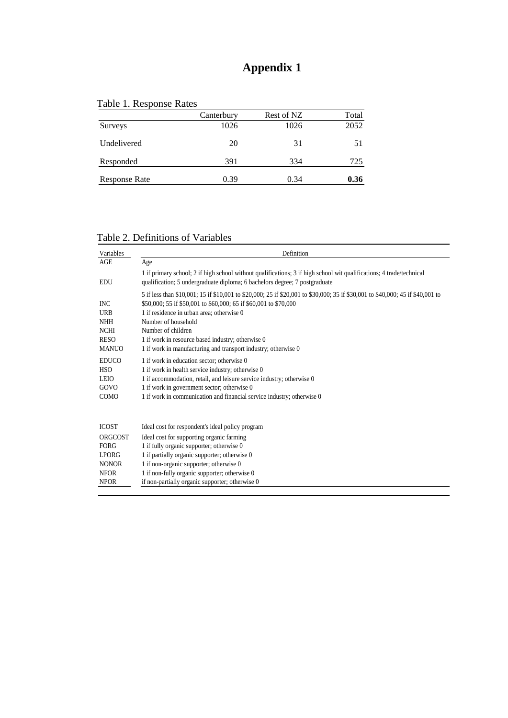## **Appendix 1**

|  | Table 1. Response Rates |
|--|-------------------------|
|--|-------------------------|

|               | Canterbury | Rest of NZ | Total |
|---------------|------------|------------|-------|
| Surveys       | 1026       | 1026       | 2052  |
| Undelivered   | 20         | 31         | 51    |
| Responded     | 391        | 334        | 725   |
| Response Rate | 0.39       | 0.34       | 0.36  |

| Table 2. Definitions of Variables |  |
|-----------------------------------|--|
|                                   |  |

| Variables                                                                                     | Definition                                                                                                                                                                                                                                                                                                                                                                                                          |
|-----------------------------------------------------------------------------------------------|---------------------------------------------------------------------------------------------------------------------------------------------------------------------------------------------------------------------------------------------------------------------------------------------------------------------------------------------------------------------------------------------------------------------|
| <b>AGE</b>                                                                                    | Age                                                                                                                                                                                                                                                                                                                                                                                                                 |
| <b>EDU</b>                                                                                    | 1 if primary school; 2 if high school without qualifications; 3 if high school wit qualifications; 4 trade/technical<br>qualification; 5 undergraduate diploma; 6 bachelors degree; 7 postgraduate                                                                                                                                                                                                                  |
| <b>INC</b><br><b>URB</b><br><b>NHH</b><br><b>NCHI</b><br><b>RESO</b><br><b>MANUO</b>          | 5 if less than \$10,001; 15 if \$10,001 to \$20,000; 25 if \$20,001 to \$30,000; 35 if \$30,001 to \$40,000; 45 if \$40,001 to<br>\$50,000; 55 if \$50,001 to \$60,000; 65 if \$60,001 to \$70,000<br>1 if residence in urban area: otherwise 0<br>Number of household<br>Number of children<br>1 if work in resource based industry; otherwise 0<br>1 if work in manufacturing and transport industry; otherwise 0 |
| <b>EDUCO</b><br><b>HSO</b><br><b>LEIO</b><br>GOVO<br><b>COMO</b>                              | 1 if work in education sector; otherwise 0<br>1 if work in health service industry; otherwise 0<br>1 if accommodation, retail, and leisure service industry; otherwise 0<br>1 if work in government sector; otherwise 0<br>1 if work in communication and financial service industry; otherwise 0                                                                                                                   |
| <b>ICOST</b><br>ORGCOST<br>FORG<br><b>LPORG</b><br><b>NONOR</b><br><b>NFOR</b><br><b>NPOR</b> | Ideal cost for respondent's ideal policy program<br>Ideal cost for supporting organic farming<br>1 if fully organic supporter; otherwise 0<br>1 if partially organic supporter; otherwise 0<br>1 if non-organic supporter; otherwise 0<br>1 if non-fully organic supporter; otherwise 0<br>if non-partially organic supporter; otherwise 0                                                                          |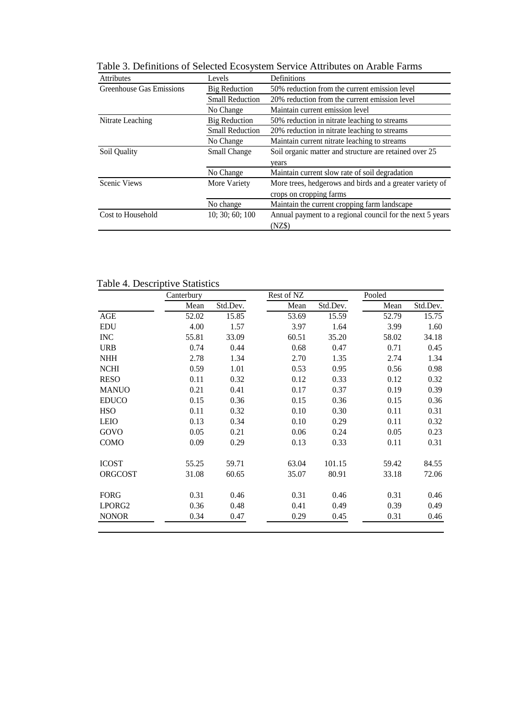| <b>Attributes</b>               | Levels                 | Definitions                                               |  |  |  |  |
|---------------------------------|------------------------|-----------------------------------------------------------|--|--|--|--|
| <b>Greenhouse Gas Emissions</b> | <b>Big Reduction</b>   | 50% reduction from the current emission level             |  |  |  |  |
|                                 | <b>Small Reduction</b> | 20% reduction from the current emission level             |  |  |  |  |
|                                 | No Change              | Maintain current emission level                           |  |  |  |  |
| Nitrate Leaching                | <b>Big Reduction</b>   | 50% reduction in nitrate leaching to streams              |  |  |  |  |
|                                 | <b>Small Reduction</b> | 20% reduction in nitrate leaching to streams              |  |  |  |  |
|                                 | No Change              | Maintain current nitrate leaching to streams              |  |  |  |  |
| Soil Quality                    | Small Change           | Soil organic matter and structure are retained over 25    |  |  |  |  |
|                                 |                        | vears                                                     |  |  |  |  |
|                                 | No Change              | Maintain current slow rate of soil degradation            |  |  |  |  |
| Scenic Views                    | More Variety           | More trees, hedgerows and birds and a greater variety of  |  |  |  |  |
|                                 |                        | crops on cropping farms                                   |  |  |  |  |
|                                 | No change              | Maintain the current cropping farm landscape              |  |  |  |  |
| Cost to Household               | 10; 30; 60; 100        | Annual payment to a regional council for the next 5 years |  |  |  |  |
|                                 |                        | (NZ\$)                                                    |  |  |  |  |

Table 3. Definitions of Selected Ecosystem Service Attributes on Arable Farms

| Table 4. Descriptive Statistics |  |
|---------------------------------|--|
|---------------------------------|--|

|                | Canterbury |          | Rest of NZ |          | Pooled |          |
|----------------|------------|----------|------------|----------|--------|----------|
|                | Mean       | Std.Dev. | Mean       | Std.Dev. | Mean   | Std.Dev. |
| AGE            | 52.02      | 15.85    | 53.69      | 15.59    | 52.79  | 15.75    |
| <b>EDU</b>     | 4.00       | 1.57     | 3.97       | 1.64     | 3.99   | 1.60     |
| <b>INC</b>     | 55.81      | 33.09    | 60.51      | 35.20    | 58.02  | 34.18    |
| <b>URB</b>     | 0.74       | 0.44     | 0.68       | 0.47     | 0.71   | 0.45     |
| $\it{NHH}$     | 2.78       | 1.34     | 2.70       | 1.35     | 2.74   | 1.34     |
| <b>NCHI</b>    | 0.59       | 1.01     | 0.53       | 0.95     | 0.56   | 0.98     |
| <b>RESO</b>    | 0.11       | 0.32     | 0.12       | 0.33     | 0.12   | 0.32     |
| <b>MANUO</b>   | 0.21       | 0.41     | 0.17       | 0.37     | 0.19   | 0.39     |
| <b>EDUCO</b>   | 0.15       | 0.36     | 0.15       | 0.36     | 0.15   | 0.36     |
| <b>HSO</b>     | 0.11       | 0.32     | 0.10       | 0.30     | 0.11   | 0.31     |
| <b>LEIO</b>    | 0.13       | 0.34     | 0.10       | 0.29     | 0.11   | 0.32     |
| GOVO           | 0.05       | 0.21     | 0.06       | 0.24     | 0.05   | 0.23     |
| COMO           | 0.09       | 0.29     | 0.13       | 0.33     | 0.11   | 0.31     |
| <b>ICOST</b>   | 55.25      | 59.71    | 63.04      | 101.15   | 59.42  | 84.55    |
| <b>ORGCOST</b> | 31.08      | 60.65    | 35.07      | 80.91    | 33.18  | 72.06    |
| <b>FORG</b>    | 0.31       | 0.46     | 0.31       | 0.46     | 0.31   | 0.46     |
| LPORG2         | 0.36       | 0.48     | 0.41       | 0.49     | 0.39   | 0.49     |
| <b>NONOR</b>   | 0.34       | 0.47     | 0.29       | 0.45     | 0.31   | 0.46     |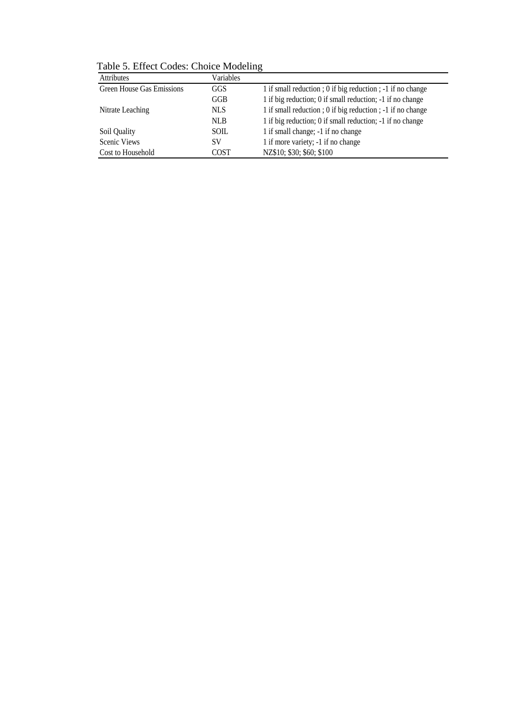Table 5. Effect Codes: Choice Modeling

| <b>Attributes</b>                | Variables   |                                                           |
|----------------------------------|-------------|-----------------------------------------------------------|
| <b>Green House Gas Emissions</b> | GGS         | 1 if small reduction; 0 if big reduction; -1 if no change |
|                                  | GGB         | 1 if big reduction; 0 if small reduction; -1 if no change |
| Nitrate Leaching                 | <b>NLS</b>  | 1 if small reduction; 0 if big reduction; -1 if no change |
|                                  | <b>NLB</b>  | 1 if big reduction; 0 if small reduction; -1 if no change |
| Soil Quality                     | <b>SOIL</b> | 1 if small change; -1 if no change                        |
| <b>Scenic Views</b>              | SV          | 1 if more variety; -1 if no change                        |
| Cost to Household                | COST        | NZ\$10; \$30; \$60; \$100                                 |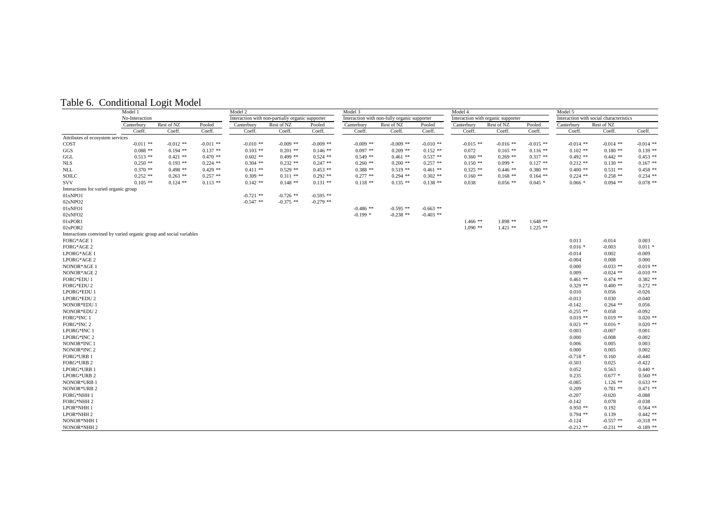|  |  | Table 6. Conditional Logit Model |
|--|--|----------------------------------|
|--|--|----------------------------------|

|                                                                    | Model 1        |             |             | Model 2                                          |             |             | Model 3                                      |             |             | Model 4     |                                    |             | Model 5                                 |             |             |
|--------------------------------------------------------------------|----------------|-------------|-------------|--------------------------------------------------|-------------|-------------|----------------------------------------------|-------------|-------------|-------------|------------------------------------|-------------|-----------------------------------------|-------------|-------------|
|                                                                    | No-Interaction |             |             | Interaction with non-partially organic supporter |             |             | Interaction with non-fully organic supporter |             |             |             | Interaction with organic supporter |             | Interaction with social characteristics |             |             |
|                                                                    | Canterbury     | Rest of NZ  | Pooled      | Canterbury                                       | Rest of NZ  | Pooled      | Canterbury                                   | Rest of NZ  | Pooled      | Canterbury  | Rest of NZ                         | Pooled      | Canterbury                              | Rest of NZ  |             |
|                                                                    | Coeff.         | Coeff.      | Coeff.      | Coeff.                                           | Coeff.      | Coeff.      | Coeff.                                       | Coeff.      | Coeff.      | Coeff.      | Coeff.                             | Coeff.      | Coeff.                                  | Coeff.      | Coeff.      |
| Attributes of ecosystem services                                   |                |             |             |                                                  |             |             |                                              |             |             |             |                                    |             |                                         |             |             |
| COST                                                               | $-0.011$ **    | $-0.012$ ** | $-0.011$ ** | $-0.010$ **                                      | $-0.009$ ** | $-0.009$ ** | $-0.009$ **                                  | $-0.009$ ** | $-0.010$ ** | $-0.015$ ** | $-0.016$ **                        | $-0.015$ ** | $-0.014$ **                             | $-0.014$ ** | $-0.014$ ** |
| GGS                                                                | $0.088**$      | $0.194$ **  | $0.137$ **  | $0.103$ **                                       | $0.201$ **  | $0.146$ **  | $0.097**$                                    | $0.209$ **  | $0.152$ **  | 0.072       | $0.165$ **                         | $0.116$ **  | $0.102$ **                              | $0.180**$   | $0.139$ **  |
| GGL                                                                | $0.513**$      | $0.421$ **  | $0.470$ **  | $0.602$ **                                       | $0.499$ **  | $0.524$ **  | $0.549$ **                                   | $0.461**$   | $0.537$ **  | $0.360$ **  | $0.269$ **                         | $0.317**$   | $0.492$ **                              | $0.442$ **  | $0.453$ **  |
| <b>NLS</b>                                                         | $0.250$ **     | $0.193$ **  | $0.224$ **  | $0.304$ **                                       | $0.232$ **  | $0.247$ **  | $0.260$ **                                   | $0.200$ **  | $0.257$ **  | $0.150$ **  | $0.099*$                           | $0.127$ **  | $0.212$ **                              | $0.130$ **  | $0.167$ **  |
| NLL                                                                | $0.370**$      | $0.498**$   | $0.429$ **  | $0.411**$                                        | $0.529$ **  | $0.453$ **  | $0.388**$                                    | $0.519**$   | $0.461$ **  | $0.325$ **  | $0.446$ **                         | $0.380**$   | $0.400$ **                              | $0.531$ **  | $0.458$ **  |
| SOILC                                                              | $0.252$ **     | $0.263$ **  | $0.257$ **  | $0.309$ **                                       | $0.311$ **  | $0.292$ **  | $0.277$ **                                   | $0.294$ **  | $0.302$ **  | $0.160**$   | $0.168$ **                         | $0.164$ **  | $0.224$ **                              | $0.258$ **  | $0.234$ **  |
| <b>SVV</b>                                                         | $0.105$ **     | $0.124$ **  | $0.113$ **  | $0.142**$                                        | $0.148**$   | $0.131$ **  | $0.118$ **                                   | $0.135$ **  | $0.138$ **  | 0.038       | $0.056$ **                         | $0.045$ *   | $0.066*$                                | $0.094$ **  | $0.078$ **  |
| Interactions for varied organic group                              |                |             |             |                                                  |             |             |                                              |             |             |             |                                    |             |                                         |             |             |
| 01xNPO1                                                            |                |             |             | $-0.721$ **                                      | $-0.726$ ** | $-0.595$ ** |                                              |             |             |             |                                    |             |                                         |             |             |
| 02xNPO <sub>2</sub>                                                |                |             |             | $-0.547$ **                                      | $-0.375$ ** | $-0.279$ ** |                                              |             |             |             |                                    |             |                                         |             |             |
| 01xNFO1                                                            |                |             |             |                                                  |             |             | $-0.486$ **                                  | $-0.595$ ** | $-0.663$ ** |             |                                    |             |                                         |             |             |
| 02xNFO2                                                            |                |             |             |                                                  |             |             | $-0.199*$                                    | $-0.238$ ** | $-0.403$ ** |             |                                    |             |                                         |             |             |
| 01xPOR1                                                            |                |             |             |                                                  |             |             |                                              |             |             | $1.466$ **  | $1.898**$                          | $1.648$ **  |                                         |             |             |
| 02xPOR2                                                            |                |             |             |                                                  |             |             |                                              |             |             | $1.090$ **  | $1.421$ **                         | $1.225$ **  |                                         |             |             |
| Interactions comvined by varied organic group and social variables |                |             |             |                                                  |             |             |                                              |             |             |             |                                    |             |                                         |             |             |
| FORG*AGE 1                                                         |                |             |             |                                                  |             |             |                                              |             |             |             |                                    |             | 0.013                                   | $-0.014$    | 0.003       |
| FORG*AGE 2                                                         |                |             |             |                                                  |             |             |                                              |             |             |             |                                    |             | $0.016*$                                | $-0.003$    | $0.011$ *   |
| LPORG*AGE 1                                                        |                |             |             |                                                  |             |             |                                              |             |             |             |                                    |             | $-0.014$                                | 0.002       | $-0.009$    |
| LPORG*AGE 2                                                        |                |             |             |                                                  |             |             |                                              |             |             |             |                                    |             | $-0.004$                                | 0.008       | 0.000       |
| NONOR*AGE 1                                                        |                |             |             |                                                  |             |             |                                              |             |             |             |                                    |             | 0.000                                   | $-0.033$ ** | $-0.019$ ** |
| NONOR*AGE 2                                                        |                |             |             |                                                  |             |             |                                              |             |             |             |                                    |             | 0.009                                   | $-0.024$ ** | $-0.010$ ** |
| <b>FORG*EDU1</b>                                                   |                |             |             |                                                  |             |             |                                              |             |             |             |                                    |             | $0.461$ **                              | $0.474$ **  | $0.382$ **  |
| FORG*EDU 2                                                         |                |             |             |                                                  |             |             |                                              |             |             |             |                                    |             | $0.329$ **                              | $0.400$ **  | $0.272$ **  |
| LPORG*EDU 1                                                        |                |             |             |                                                  |             |             |                                              |             |             |             |                                    |             | 0.010                                   | 0.056       | $-0.026$    |
| LPORG*EDU 2                                                        |                |             |             |                                                  |             |             |                                              |             |             |             |                                    |             | $-0.013$                                | 0.030       | $-0.040$    |
| NONOR*EDU 1                                                        |                |             |             |                                                  |             |             |                                              |             |             |             |                                    |             | $-0.142$                                | $0.264$ **  | 0.056       |
| NONOR*EDU 2                                                        |                |             |             |                                                  |             |             |                                              |             |             |             |                                    |             | $-0.255$ **                             | 0.058       | $-0.092$    |
|                                                                    |                |             |             |                                                  |             |             |                                              |             |             |             |                                    |             | $0.019$ **                              | $0.019$ **  | $0.020$ **  |
| FORG*INC 1<br>FORG*INC 2                                           |                |             |             |                                                  |             |             |                                              |             |             |             |                                    |             | $0.021$ **                              | $0.016*$    | $0.020$ **  |
|                                                                    |                |             |             |                                                  |             |             |                                              |             |             |             |                                    |             |                                         |             |             |
| LPORG*INC 1                                                        |                |             |             |                                                  |             |             |                                              |             |             |             |                                    |             | 0.003                                   | $-0.007$    | 0.001       |
| LPORG*INC 2                                                        |                |             |             |                                                  |             |             |                                              |             |             |             |                                    |             | 0.000                                   | $-0.008$    | $-0.002$    |
| NONOR*INC 1                                                        |                |             |             |                                                  |             |             |                                              |             |             |             |                                    |             | 0.006                                   | 0.005       | 0.003       |
| NONOR*INC 2                                                        |                |             |             |                                                  |             |             |                                              |             |             |             |                                    |             | 0.000                                   | 0.005       | 0.002       |
| FORG*URB 1                                                         |                |             |             |                                                  |             |             |                                              |             |             |             |                                    |             | $-0.718*$                               | 0.160       | $-0.440$    |
| FORG*URB 2                                                         |                |             |             |                                                  |             |             |                                              |             |             |             |                                    |             | $-0.503$                                | 0.025       | $-0.422$    |
| LPORG*URB 1                                                        |                |             |             |                                                  |             |             |                                              |             |             |             |                                    |             | 0.052                                   | 0.563       | $0.440*$    |
| LPORG*URB 2                                                        |                |             |             |                                                  |             |             |                                              |             |             |             |                                    |             | 0.235                                   | $0.677*$    | $0.560$ **  |
| NONOR*URB 1                                                        |                |             |             |                                                  |             |             |                                              |             |             |             |                                    |             | $-0.085$                                | $1.126$ **  | $0.633$ **  |
| NONOR*URB 2                                                        |                |             |             |                                                  |             |             |                                              |             |             |             |                                    |             | 0.209                                   | $0.781$ **  | $0.471$ **  |
| FORG*NHH 1                                                         |                |             |             |                                                  |             |             |                                              |             |             |             |                                    |             | $-0.207$                                | $-0.020$    | $-0.088$    |
| FORG*NHH 2                                                         |                |             |             |                                                  |             |             |                                              |             |             |             |                                    |             | $-0.142$                                | 0.078       | $-0.038$    |
| LPOR*NHH 1                                                         |                |             |             |                                                  |             |             |                                              |             |             |             |                                    |             | $0.950$ **                              | 0.192       | $0.564$ **  |
| LPOR*NHH 2                                                         |                |             |             |                                                  |             |             |                                              |             |             |             |                                    |             | $0.794$ **                              | 0.139       | $0.442$ **  |
| NONOR*NHH 1                                                        |                |             |             |                                                  |             |             |                                              |             |             |             |                                    |             | $-0.124$                                | $-0.557$ ** | $-0.318$ ** |
| NONOR*NHH 2                                                        |                |             |             |                                                  |             |             |                                              |             |             |             |                                    |             | $-0.212$ **                             | $-0.231$ ** | $-0.189$ ** |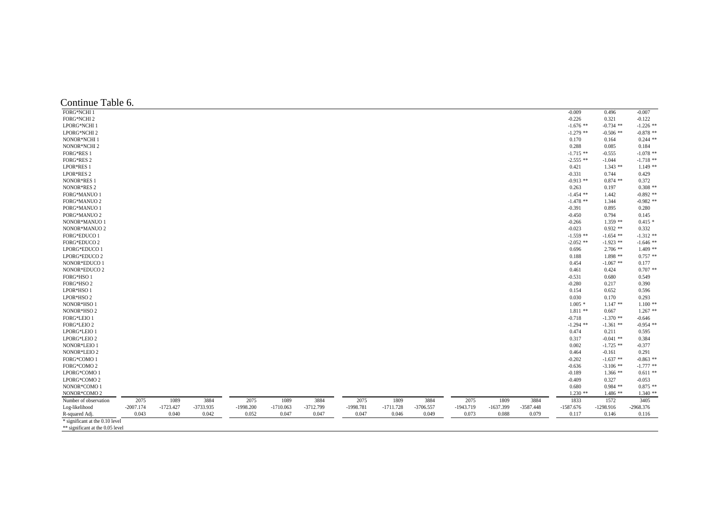| $-0.009$<br>0.496<br>$-0.007$<br>FORG*NCHI 2<br>$-0.226$<br>0.321<br>$-0.122$<br>LPORG*NCHI 1<br>$-1.676$ **<br>$-0.734$ **<br>$-1.226$ **<br>$-0.878$ **<br>LPORG*NCHI 2<br>$-1.279$ **<br>$-0.506$ **<br>$0.244$ **<br>NONOR*NCHI 1<br>0.170<br>0.164<br>NONOR*NCHI 2<br>0.288<br>0.085<br>0.184<br><b>FORG*RES 1</b><br>$-1.715$ **<br>$-1.078$ **<br>$-0.555$<br>$-1.718$ **<br><b>FORG*RES 2</b><br>$-2.555$ **<br>$-1.044$<br>$1.149**$<br>LPOR*RES 1<br>0.421<br>$1.343**$<br>LPOR*RES 2<br>$-0.331$<br>0.429<br>0.744<br>NONOR*RES 1<br>$-0.913$ **<br>$0.874$ **<br>0.372<br>NONOR*RES 2<br>$0.308**$<br>0.263<br>0.197<br>$-0.892$ **<br><b>FORG*MANUO 1</b><br>$-1.454$ **<br>1.442<br>$-0.982$ **<br><b>FORG*MANUO 2</b><br>$-1.478$ **<br>1.344<br>PORG*MANUO 1<br>$-0.391$<br>0.895<br>0.280<br>PORG*MANUO 2<br>$-0.450$<br>0.794<br>0.145<br>NONOR*MANUO 1<br>$1.359$ **<br>$0.415*$<br>$-0.266$<br>NONOR*MANUO 2<br>$-0.023$<br>$0.932**$<br>0.332<br>FORG*EDUCO 1<br>$-1.559$ **<br>$-1.312$ **<br>$-1.654$ **<br>FORG*EDUCO 2<br>$-1.646$ **<br>$-2.052$ **<br>$-1.923$ **<br>$1.409**$<br>LPORG*EDUCO 1<br>0.696<br>$2.706$ **<br>$0.757**$<br>LPORG*EDUCO 2<br>$1.898**$<br>0.188<br>NONOR*EDUCO 1<br>0.454<br>$-1.067$ **<br>0.177<br>$0.707$ **<br>NONOR*EDUCO 2<br>0.424<br>0.461<br>FORG*HSO 1<br>0.549<br>$-0.531$<br>0.680<br>FORG*HSO 2<br>$-0.280$<br>0.217<br>0.390<br>LPOR*HSO 1<br>0.154<br>0.652<br>0.596<br>0.030<br>0.293<br>0.170<br>NONOR*HSO 1<br>$1.005*$<br>$1.147**$<br>$1.100**$<br>$1.267$ **<br>NONOR*HSO 2<br>$1.811**$<br>0.667<br>FORG*LEIO 1<br>$-1.370$ **<br>$-0.718$<br>$-0.646$<br>FORG*LEIO 2<br>$-1.294$ **<br>$-0.954$ **<br>$-1.361$ **<br>0.474<br>0.211<br>0.595<br>LPORG*LEIO 2<br>0.317<br>$-0.041$ **<br>0.384<br>NONOR*LEIO 1<br>0.002<br>$-1.725$ **<br>$-0.377$<br>NONOR*LEIO 2<br>0.464<br>0.291<br>$-0.161$<br>FORG*COMO 1<br>$-0.863$ **<br>$-0.202$<br>$-1.637$ **<br>FORG*COMO 2<br>$-0.636$<br>$-1.777$ **<br>$-3.106$ **<br>$0.611**$<br>LPORG*COMO 1<br>$-0.189$<br>$1.366**$<br>LPORG*COMO 2<br>$-0.409$<br>0.327<br>$-0.053$<br>NONOR*COMO 1<br>$0.875**$<br>0.680<br>$0.984$ **<br>NONOR*COMO 2<br>$1.230**$<br>$1.486**$<br>$1.340**$ | Continue Table 6.     |      |      |      |      |      |      |      |      |      |      |      |      |      |      |      |
|------------------------------------------------------------------------------------------------------------------------------------------------------------------------------------------------------------------------------------------------------------------------------------------------------------------------------------------------------------------------------------------------------------------------------------------------------------------------------------------------------------------------------------------------------------------------------------------------------------------------------------------------------------------------------------------------------------------------------------------------------------------------------------------------------------------------------------------------------------------------------------------------------------------------------------------------------------------------------------------------------------------------------------------------------------------------------------------------------------------------------------------------------------------------------------------------------------------------------------------------------------------------------------------------------------------------------------------------------------------------------------------------------------------------------------------------------------------------------------------------------------------------------------------------------------------------------------------------------------------------------------------------------------------------------------------------------------------------------------------------------------------------------------------------------------------------------------------------------------------------------------------------------------------------------------------------------------------------------------------------------------------------------------------------------------------------------------------------------------------------------------------------------------------------------------------------------------------|-----------------------|------|------|------|------|------|------|------|------|------|------|------|------|------|------|------|
|                                                                                                                                                                                                                                                                                                                                                                                                                                                                                                                                                                                                                                                                                                                                                                                                                                                                                                                                                                                                                                                                                                                                                                                                                                                                                                                                                                                                                                                                                                                                                                                                                                                                                                                                                                                                                                                                                                                                                                                                                                                                                                                                                                                                                  | <b>FORG*NCHI1</b>     |      |      |      |      |      |      |      |      |      |      |      |      |      |      |      |
|                                                                                                                                                                                                                                                                                                                                                                                                                                                                                                                                                                                                                                                                                                                                                                                                                                                                                                                                                                                                                                                                                                                                                                                                                                                                                                                                                                                                                                                                                                                                                                                                                                                                                                                                                                                                                                                                                                                                                                                                                                                                                                                                                                                                                  |                       |      |      |      |      |      |      |      |      |      |      |      |      |      |      |      |
|                                                                                                                                                                                                                                                                                                                                                                                                                                                                                                                                                                                                                                                                                                                                                                                                                                                                                                                                                                                                                                                                                                                                                                                                                                                                                                                                                                                                                                                                                                                                                                                                                                                                                                                                                                                                                                                                                                                                                                                                                                                                                                                                                                                                                  |                       |      |      |      |      |      |      |      |      |      |      |      |      |      |      |      |
|                                                                                                                                                                                                                                                                                                                                                                                                                                                                                                                                                                                                                                                                                                                                                                                                                                                                                                                                                                                                                                                                                                                                                                                                                                                                                                                                                                                                                                                                                                                                                                                                                                                                                                                                                                                                                                                                                                                                                                                                                                                                                                                                                                                                                  |                       |      |      |      |      |      |      |      |      |      |      |      |      |      |      |      |
|                                                                                                                                                                                                                                                                                                                                                                                                                                                                                                                                                                                                                                                                                                                                                                                                                                                                                                                                                                                                                                                                                                                                                                                                                                                                                                                                                                                                                                                                                                                                                                                                                                                                                                                                                                                                                                                                                                                                                                                                                                                                                                                                                                                                                  |                       |      |      |      |      |      |      |      |      |      |      |      |      |      |      |      |
|                                                                                                                                                                                                                                                                                                                                                                                                                                                                                                                                                                                                                                                                                                                                                                                                                                                                                                                                                                                                                                                                                                                                                                                                                                                                                                                                                                                                                                                                                                                                                                                                                                                                                                                                                                                                                                                                                                                                                                                                                                                                                                                                                                                                                  |                       |      |      |      |      |      |      |      |      |      |      |      |      |      |      |      |
|                                                                                                                                                                                                                                                                                                                                                                                                                                                                                                                                                                                                                                                                                                                                                                                                                                                                                                                                                                                                                                                                                                                                                                                                                                                                                                                                                                                                                                                                                                                                                                                                                                                                                                                                                                                                                                                                                                                                                                                                                                                                                                                                                                                                                  |                       |      |      |      |      |      |      |      |      |      |      |      |      |      |      |      |
|                                                                                                                                                                                                                                                                                                                                                                                                                                                                                                                                                                                                                                                                                                                                                                                                                                                                                                                                                                                                                                                                                                                                                                                                                                                                                                                                                                                                                                                                                                                                                                                                                                                                                                                                                                                                                                                                                                                                                                                                                                                                                                                                                                                                                  |                       |      |      |      |      |      |      |      |      |      |      |      |      |      |      |      |
|                                                                                                                                                                                                                                                                                                                                                                                                                                                                                                                                                                                                                                                                                                                                                                                                                                                                                                                                                                                                                                                                                                                                                                                                                                                                                                                                                                                                                                                                                                                                                                                                                                                                                                                                                                                                                                                                                                                                                                                                                                                                                                                                                                                                                  |                       |      |      |      |      |      |      |      |      |      |      |      |      |      |      |      |
|                                                                                                                                                                                                                                                                                                                                                                                                                                                                                                                                                                                                                                                                                                                                                                                                                                                                                                                                                                                                                                                                                                                                                                                                                                                                                                                                                                                                                                                                                                                                                                                                                                                                                                                                                                                                                                                                                                                                                                                                                                                                                                                                                                                                                  |                       |      |      |      |      |      |      |      |      |      |      |      |      |      |      |      |
|                                                                                                                                                                                                                                                                                                                                                                                                                                                                                                                                                                                                                                                                                                                                                                                                                                                                                                                                                                                                                                                                                                                                                                                                                                                                                                                                                                                                                                                                                                                                                                                                                                                                                                                                                                                                                                                                                                                                                                                                                                                                                                                                                                                                                  |                       |      |      |      |      |      |      |      |      |      |      |      |      |      |      |      |
|                                                                                                                                                                                                                                                                                                                                                                                                                                                                                                                                                                                                                                                                                                                                                                                                                                                                                                                                                                                                                                                                                                                                                                                                                                                                                                                                                                                                                                                                                                                                                                                                                                                                                                                                                                                                                                                                                                                                                                                                                                                                                                                                                                                                                  |                       |      |      |      |      |      |      |      |      |      |      |      |      |      |      |      |
|                                                                                                                                                                                                                                                                                                                                                                                                                                                                                                                                                                                                                                                                                                                                                                                                                                                                                                                                                                                                                                                                                                                                                                                                                                                                                                                                                                                                                                                                                                                                                                                                                                                                                                                                                                                                                                                                                                                                                                                                                                                                                                                                                                                                                  |                       |      |      |      |      |      |      |      |      |      |      |      |      |      |      |      |
|                                                                                                                                                                                                                                                                                                                                                                                                                                                                                                                                                                                                                                                                                                                                                                                                                                                                                                                                                                                                                                                                                                                                                                                                                                                                                                                                                                                                                                                                                                                                                                                                                                                                                                                                                                                                                                                                                                                                                                                                                                                                                                                                                                                                                  |                       |      |      |      |      |      |      |      |      |      |      |      |      |      |      |      |
|                                                                                                                                                                                                                                                                                                                                                                                                                                                                                                                                                                                                                                                                                                                                                                                                                                                                                                                                                                                                                                                                                                                                                                                                                                                                                                                                                                                                                                                                                                                                                                                                                                                                                                                                                                                                                                                                                                                                                                                                                                                                                                                                                                                                                  |                       |      |      |      |      |      |      |      |      |      |      |      |      |      |      |      |
|                                                                                                                                                                                                                                                                                                                                                                                                                                                                                                                                                                                                                                                                                                                                                                                                                                                                                                                                                                                                                                                                                                                                                                                                                                                                                                                                                                                                                                                                                                                                                                                                                                                                                                                                                                                                                                                                                                                                                                                                                                                                                                                                                                                                                  |                       |      |      |      |      |      |      |      |      |      |      |      |      |      |      |      |
|                                                                                                                                                                                                                                                                                                                                                                                                                                                                                                                                                                                                                                                                                                                                                                                                                                                                                                                                                                                                                                                                                                                                                                                                                                                                                                                                                                                                                                                                                                                                                                                                                                                                                                                                                                                                                                                                                                                                                                                                                                                                                                                                                                                                                  |                       |      |      |      |      |      |      |      |      |      |      |      |      |      |      |      |
|                                                                                                                                                                                                                                                                                                                                                                                                                                                                                                                                                                                                                                                                                                                                                                                                                                                                                                                                                                                                                                                                                                                                                                                                                                                                                                                                                                                                                                                                                                                                                                                                                                                                                                                                                                                                                                                                                                                                                                                                                                                                                                                                                                                                                  |                       |      |      |      |      |      |      |      |      |      |      |      |      |      |      |      |
|                                                                                                                                                                                                                                                                                                                                                                                                                                                                                                                                                                                                                                                                                                                                                                                                                                                                                                                                                                                                                                                                                                                                                                                                                                                                                                                                                                                                                                                                                                                                                                                                                                                                                                                                                                                                                                                                                                                                                                                                                                                                                                                                                                                                                  |                       |      |      |      |      |      |      |      |      |      |      |      |      |      |      |      |
|                                                                                                                                                                                                                                                                                                                                                                                                                                                                                                                                                                                                                                                                                                                                                                                                                                                                                                                                                                                                                                                                                                                                                                                                                                                                                                                                                                                                                                                                                                                                                                                                                                                                                                                                                                                                                                                                                                                                                                                                                                                                                                                                                                                                                  |                       |      |      |      |      |      |      |      |      |      |      |      |      |      |      |      |
|                                                                                                                                                                                                                                                                                                                                                                                                                                                                                                                                                                                                                                                                                                                                                                                                                                                                                                                                                                                                                                                                                                                                                                                                                                                                                                                                                                                                                                                                                                                                                                                                                                                                                                                                                                                                                                                                                                                                                                                                                                                                                                                                                                                                                  |                       |      |      |      |      |      |      |      |      |      |      |      |      |      |      |      |
|                                                                                                                                                                                                                                                                                                                                                                                                                                                                                                                                                                                                                                                                                                                                                                                                                                                                                                                                                                                                                                                                                                                                                                                                                                                                                                                                                                                                                                                                                                                                                                                                                                                                                                                                                                                                                                                                                                                                                                                                                                                                                                                                                                                                                  |                       |      |      |      |      |      |      |      |      |      |      |      |      |      |      |      |
|                                                                                                                                                                                                                                                                                                                                                                                                                                                                                                                                                                                                                                                                                                                                                                                                                                                                                                                                                                                                                                                                                                                                                                                                                                                                                                                                                                                                                                                                                                                                                                                                                                                                                                                                                                                                                                                                                                                                                                                                                                                                                                                                                                                                                  |                       |      |      |      |      |      |      |      |      |      |      |      |      |      |      |      |
|                                                                                                                                                                                                                                                                                                                                                                                                                                                                                                                                                                                                                                                                                                                                                                                                                                                                                                                                                                                                                                                                                                                                                                                                                                                                                                                                                                                                                                                                                                                                                                                                                                                                                                                                                                                                                                                                                                                                                                                                                                                                                                                                                                                                                  |                       |      |      |      |      |      |      |      |      |      |      |      |      |      |      |      |
|                                                                                                                                                                                                                                                                                                                                                                                                                                                                                                                                                                                                                                                                                                                                                                                                                                                                                                                                                                                                                                                                                                                                                                                                                                                                                                                                                                                                                                                                                                                                                                                                                                                                                                                                                                                                                                                                                                                                                                                                                                                                                                                                                                                                                  |                       |      |      |      |      |      |      |      |      |      |      |      |      |      |      |      |
|                                                                                                                                                                                                                                                                                                                                                                                                                                                                                                                                                                                                                                                                                                                                                                                                                                                                                                                                                                                                                                                                                                                                                                                                                                                                                                                                                                                                                                                                                                                                                                                                                                                                                                                                                                                                                                                                                                                                                                                                                                                                                                                                                                                                                  |                       |      |      |      |      |      |      |      |      |      |      |      |      |      |      |      |
|                                                                                                                                                                                                                                                                                                                                                                                                                                                                                                                                                                                                                                                                                                                                                                                                                                                                                                                                                                                                                                                                                                                                                                                                                                                                                                                                                                                                                                                                                                                                                                                                                                                                                                                                                                                                                                                                                                                                                                                                                                                                                                                                                                                                                  |                       |      |      |      |      |      |      |      |      |      |      |      |      |      |      |      |
|                                                                                                                                                                                                                                                                                                                                                                                                                                                                                                                                                                                                                                                                                                                                                                                                                                                                                                                                                                                                                                                                                                                                                                                                                                                                                                                                                                                                                                                                                                                                                                                                                                                                                                                                                                                                                                                                                                                                                                                                                                                                                                                                                                                                                  |                       |      |      |      |      |      |      |      |      |      |      |      |      |      |      |      |
|                                                                                                                                                                                                                                                                                                                                                                                                                                                                                                                                                                                                                                                                                                                                                                                                                                                                                                                                                                                                                                                                                                                                                                                                                                                                                                                                                                                                                                                                                                                                                                                                                                                                                                                                                                                                                                                                                                                                                                                                                                                                                                                                                                                                                  | LPOR*HSO 2            |      |      |      |      |      |      |      |      |      |      |      |      |      |      |      |
|                                                                                                                                                                                                                                                                                                                                                                                                                                                                                                                                                                                                                                                                                                                                                                                                                                                                                                                                                                                                                                                                                                                                                                                                                                                                                                                                                                                                                                                                                                                                                                                                                                                                                                                                                                                                                                                                                                                                                                                                                                                                                                                                                                                                                  |                       |      |      |      |      |      |      |      |      |      |      |      |      |      |      |      |
|                                                                                                                                                                                                                                                                                                                                                                                                                                                                                                                                                                                                                                                                                                                                                                                                                                                                                                                                                                                                                                                                                                                                                                                                                                                                                                                                                                                                                                                                                                                                                                                                                                                                                                                                                                                                                                                                                                                                                                                                                                                                                                                                                                                                                  |                       |      |      |      |      |      |      |      |      |      |      |      |      |      |      |      |
|                                                                                                                                                                                                                                                                                                                                                                                                                                                                                                                                                                                                                                                                                                                                                                                                                                                                                                                                                                                                                                                                                                                                                                                                                                                                                                                                                                                                                                                                                                                                                                                                                                                                                                                                                                                                                                                                                                                                                                                                                                                                                                                                                                                                                  |                       |      |      |      |      |      |      |      |      |      |      |      |      |      |      |      |
|                                                                                                                                                                                                                                                                                                                                                                                                                                                                                                                                                                                                                                                                                                                                                                                                                                                                                                                                                                                                                                                                                                                                                                                                                                                                                                                                                                                                                                                                                                                                                                                                                                                                                                                                                                                                                                                                                                                                                                                                                                                                                                                                                                                                                  |                       |      |      |      |      |      |      |      |      |      |      |      |      |      |      |      |
|                                                                                                                                                                                                                                                                                                                                                                                                                                                                                                                                                                                                                                                                                                                                                                                                                                                                                                                                                                                                                                                                                                                                                                                                                                                                                                                                                                                                                                                                                                                                                                                                                                                                                                                                                                                                                                                                                                                                                                                                                                                                                                                                                                                                                  | LPORG*LEIO 1          |      |      |      |      |      |      |      |      |      |      |      |      |      |      |      |
|                                                                                                                                                                                                                                                                                                                                                                                                                                                                                                                                                                                                                                                                                                                                                                                                                                                                                                                                                                                                                                                                                                                                                                                                                                                                                                                                                                                                                                                                                                                                                                                                                                                                                                                                                                                                                                                                                                                                                                                                                                                                                                                                                                                                                  |                       |      |      |      |      |      |      |      |      |      |      |      |      |      |      |      |
|                                                                                                                                                                                                                                                                                                                                                                                                                                                                                                                                                                                                                                                                                                                                                                                                                                                                                                                                                                                                                                                                                                                                                                                                                                                                                                                                                                                                                                                                                                                                                                                                                                                                                                                                                                                                                                                                                                                                                                                                                                                                                                                                                                                                                  |                       |      |      |      |      |      |      |      |      |      |      |      |      |      |      |      |
|                                                                                                                                                                                                                                                                                                                                                                                                                                                                                                                                                                                                                                                                                                                                                                                                                                                                                                                                                                                                                                                                                                                                                                                                                                                                                                                                                                                                                                                                                                                                                                                                                                                                                                                                                                                                                                                                                                                                                                                                                                                                                                                                                                                                                  |                       |      |      |      |      |      |      |      |      |      |      |      |      |      |      |      |
|                                                                                                                                                                                                                                                                                                                                                                                                                                                                                                                                                                                                                                                                                                                                                                                                                                                                                                                                                                                                                                                                                                                                                                                                                                                                                                                                                                                                                                                                                                                                                                                                                                                                                                                                                                                                                                                                                                                                                                                                                                                                                                                                                                                                                  |                       |      |      |      |      |      |      |      |      |      |      |      |      |      |      |      |
|                                                                                                                                                                                                                                                                                                                                                                                                                                                                                                                                                                                                                                                                                                                                                                                                                                                                                                                                                                                                                                                                                                                                                                                                                                                                                                                                                                                                                                                                                                                                                                                                                                                                                                                                                                                                                                                                                                                                                                                                                                                                                                                                                                                                                  |                       |      |      |      |      |      |      |      |      |      |      |      |      |      |      |      |
|                                                                                                                                                                                                                                                                                                                                                                                                                                                                                                                                                                                                                                                                                                                                                                                                                                                                                                                                                                                                                                                                                                                                                                                                                                                                                                                                                                                                                                                                                                                                                                                                                                                                                                                                                                                                                                                                                                                                                                                                                                                                                                                                                                                                                  |                       |      |      |      |      |      |      |      |      |      |      |      |      |      |      |      |
|                                                                                                                                                                                                                                                                                                                                                                                                                                                                                                                                                                                                                                                                                                                                                                                                                                                                                                                                                                                                                                                                                                                                                                                                                                                                                                                                                                                                                                                                                                                                                                                                                                                                                                                                                                                                                                                                                                                                                                                                                                                                                                                                                                                                                  |                       |      |      |      |      |      |      |      |      |      |      |      |      |      |      |      |
|                                                                                                                                                                                                                                                                                                                                                                                                                                                                                                                                                                                                                                                                                                                                                                                                                                                                                                                                                                                                                                                                                                                                                                                                                                                                                                                                                                                                                                                                                                                                                                                                                                                                                                                                                                                                                                                                                                                                                                                                                                                                                                                                                                                                                  |                       |      |      |      |      |      |      |      |      |      |      |      |      |      |      |      |
|                                                                                                                                                                                                                                                                                                                                                                                                                                                                                                                                                                                                                                                                                                                                                                                                                                                                                                                                                                                                                                                                                                                                                                                                                                                                                                                                                                                                                                                                                                                                                                                                                                                                                                                                                                                                                                                                                                                                                                                                                                                                                                                                                                                                                  |                       |      |      |      |      |      |      |      |      |      |      |      |      |      |      |      |
|                                                                                                                                                                                                                                                                                                                                                                                                                                                                                                                                                                                                                                                                                                                                                                                                                                                                                                                                                                                                                                                                                                                                                                                                                                                                                                                                                                                                                                                                                                                                                                                                                                                                                                                                                                                                                                                                                                                                                                                                                                                                                                                                                                                                                  | Number of observation | 2075 | 1089 | 3884 | 2075 | 1089 | 3884 | 2075 | 1809 | 3884 | 2075 | 1809 | 3884 | 1833 | 1572 | 3405 |
| $-1998.200$<br>-1998.781<br>$-1637.399$<br>$-2007.174$<br>$-1723.427$<br>-3733.935<br>$-1710.063$<br>$-3712.799$<br>$-1711.728$<br>$-3706.557$<br>$-1943.719$<br>$-3587.448$<br>$-1587.676$<br>$-1298.916$<br>$-2968.376$                                                                                                                                                                                                                                                                                                                                                                                                                                                                                                                                                                                                                                                                                                                                                                                                                                                                                                                                                                                                                                                                                                                                                                                                                                                                                                                                                                                                                                                                                                                                                                                                                                                                                                                                                                                                                                                                                                                                                                                        | Log-likelihood        |      |      |      |      |      |      |      |      |      |      |      |      |      |      |      |
| 0.043<br>0.040<br>0.049                                                                                                                                                                                                                                                                                                                                                                                                                                                                                                                                                                                                                                                                                                                                                                                                                                                                                                                                                                                                                                                                                                                                                                                                                                                                                                                                                                                                                                                                                                                                                                                                                                                                                                                                                                                                                                                                                                                                                                                                                                                                                                                                                                                          |                       |      |      |      |      |      |      |      |      |      |      |      |      |      |      |      |
| R-squared Adj.<br>0.042<br>0.052<br>0.047<br>0.047<br>0.047<br>0.046<br>0.073<br>0.088<br>0.079<br>0.117<br>0.146<br>0.116<br>* significant at the 0.10 level                                                                                                                                                                                                                                                                                                                                                                                                                                                                                                                                                                                                                                                                                                                                                                                                                                                                                                                                                                                                                                                                                                                                                                                                                                                                                                                                                                                                                                                                                                                                                                                                                                                                                                                                                                                                                                                                                                                                                                                                                                                    |                       |      |      |      |      |      |      |      |      |      |      |      |      |      |      |      |
| ** significant at the 0.05 level                                                                                                                                                                                                                                                                                                                                                                                                                                                                                                                                                                                                                                                                                                                                                                                                                                                                                                                                                                                                                                                                                                                                                                                                                                                                                                                                                                                                                                                                                                                                                                                                                                                                                                                                                                                                                                                                                                                                                                                                                                                                                                                                                                                 |                       |      |      |      |      |      |      |      |      |      |      |      |      |      |      |      |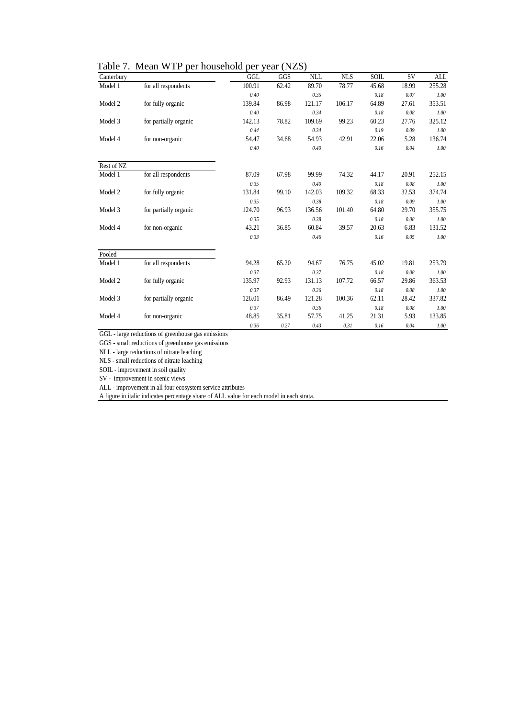|  |  |  |  | Table 7. Mean WTP per household per year (NZ\$) |  |  |  |
|--|--|--|--|-------------------------------------------------|--|--|--|
|--|--|--|--|-------------------------------------------------|--|--|--|

| Canterbury |                       | GGL    | GGS   | <b>NLL</b> | <b>NLS</b> | SOIL  | <b>SV</b> | <b>ALL</b> |
|------------|-----------------------|--------|-------|------------|------------|-------|-----------|------------|
| Model 1    | for all respondents   | 100.91 | 62.42 | 89.70      | 78.77      | 45.68 | 18.99     | 255.28     |
|            |                       | 0.40   |       | 0.35       |            | 0.18  | 0.07      | 1.00       |
| Model 2    | for fully organic     | 139.84 | 86.98 | 121.17     | 106.17     | 64.89 | 27.61     | 353.51     |
|            |                       | 0.40   |       | 0.34       |            | 0.18  | 0.08      | 1.00       |
| Model 3    | for partially organic | 142.13 | 78.82 | 109.69     | 99.23      | 60.23 | 27.76     | 325.12     |
|            |                       | 0.44   |       | 0.34       |            | 0.19  | 0.09      | 1.00       |
| Model 4    | for non-organic       | 54.47  | 34.68 | 54.93      | 42.91      | 22.06 | 5.28      | 136.74     |
|            |                       | 0.40   |       | 0.40       |            | 0.16  | 0.04      | 1.00       |
| Rest of NZ |                       |        |       |            |            |       |           |            |
| Model 1    | for all respondents   | 87.09  | 67.98 | 99.99      | 74.32      | 44.17 | 20.91     | 252.15     |
|            |                       | 0.35   |       | 0.40       |            | 0.18  | 0.08      | 1.00       |
| Model 2    | for fully organic     | 131.84 | 99.10 | 142.03     | 109.32     | 68.33 | 32.53     | 374.74     |
|            |                       | 0.35   |       | 0.38       |            | 0.18  | 0.09      | 1.00       |
| Model 3    | for partially organic | 124.70 | 96.93 | 136.56     | 101.40     | 64.80 | 29.70     | 355.75     |
|            |                       | 0.35   |       | 0.38       |            | 0.18  | 0.08      | 1.00       |
| Model 4    | for non-organic       | 43.21  | 36.85 | 60.84      | 39.57      | 20.63 | 6.83      | 131.52     |
|            |                       | 0.33   |       | 0.46       |            | 0.16  | 0.05      | 1.00       |
| Pooled     |                       |        |       |            |            |       |           |            |
| Model 1    | for all respondents   | 94.28  | 65.20 | 94.67      | 76.75      | 45.02 | 19.81     | 253.79     |
|            |                       | 0.37   |       | 0.37       |            | 0.18  | 0.08      | 1.00       |
| Model 2    | for fully organic     | 135.97 | 92.93 | 131.13     | 107.72     | 66.57 | 29.86     | 363.53     |
|            |                       | 0.37   |       | 0.36       |            | 0.18  | 0.08      | 1.00       |
| Model 3    | for partially organic | 126.01 | 86.49 | 121.28     | 100.36     | 62.11 | 28.42     | 337.82     |
|            |                       | 0.37   |       | 0.36       |            | 0.18  | 0.08      | 1.00       |
| Model 4    | for non-organic       | 48.85  | 35.81 | 57.75      | 41.25      | 21.31 | 5.93      | 133.85     |
|            |                       | 0.36   | 0.27  | 0.43       | 0.31       | 0.16  | 0.04      | 1.00       |

GGL - large reductions of greenhouse gas emissions

GGS - small reductions of greenhouse gas emissions

NLL - large reductions of nitrate leaching

NLS - small reductions of nitrate leaching

SOIL - improvement in soil quality

SV - improvement in scenic views

ALL - improvement in all four ecosystem service attributes

A figure in italic indicates percentage share of ALL value for each model in each strata.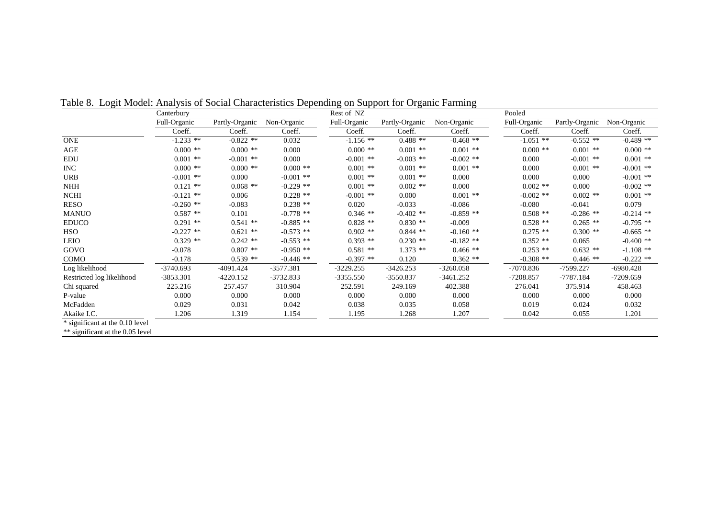|                                  | Canterbury   |                |             | Rest of NZ   |                |             | Pooled       |                |             |
|----------------------------------|--------------|----------------|-------------|--------------|----------------|-------------|--------------|----------------|-------------|
|                                  | Full-Organic | Partly-Organic | Non-Organic | Full-Organic | Partly-Organic | Non-Organic | Full-Organic | Partly-Organic | Non-Organic |
|                                  | Coeff.       | Coeff.         | Coeff.      | Coeff.       | Coeff.         | Coeff.      | Coeff.       | Coeff.         | Coeff.      |
| <b>ONE</b>                       | $-1.233$ **  | $-0.822$ **    | 0.032       | $-1.156$ **  | $0.488$ **     | $-0.468$ ** | $-1.051$ **  | $-0.552$ **    | $-0.489$ ** |
| AGE                              | $0.000**$    | $0.000$ **     | 0.000       | $0.000**$    | $0.001$ **     | $0.001$ **  | $0.000$ **   | $0.001$ **     | $0.000**$   |
| EDU                              | $0.001$ **   | $-0.001$ **    | 0.000       | $-0.001$ **  | $-0.003$ **    | $-0.002$ ** | 0.000        | $-0.001$ **    | $0.001$ **  |
| $\rm{INC}$                       | $0.000$ **   | $0.000$ **     | $0.000$ **  | $0.001$ **   | $0.001$ **     | $0.001$ **  | 0.000        | $0.001$ **     | $-0.001$ ** |
| <b>URB</b>                       | $-0.001$ **  | 0.000          | $-0.001$ ** | $0.001$ **   | $0.001$ **     | 0.000       | 0.000        | 0.000          | $-0.001$ ** |
| <b>NHH</b>                       | $0.121$ **   | $0.068$ **     | $-0.229$ ** | $0.001$ **   | $0.002$ **     | 0.000       | $0.002$ **   | 0.000          | $-0.002$ ** |
| <b>NCHI</b>                      | $-0.121$ **  | 0.006          | $0.228$ **  | $-0.001$ **  | 0.000          | $0.001$ **  | $-0.002$ **  | $0.002$ **     | $0.001$ **  |
| <b>RESO</b>                      | $-0.260$ **  | $-0.083$       | $0.238$ **  | 0.020        | $-0.033$       | $-0.086$    | $-0.080$     | $-0.041$       | 0.079       |
| <b>MANUO</b>                     | $0.587**$    | 0.101          | $-0.778$ ** | $0.346**$    | $-0.402$ **    | $-0.859$ ** | $0.508$ **   | $-0.286$ **    | $-0.214$ ** |
| <b>EDUCO</b>                     | $0.291$ **   | $0.541**$      | $-0.885$ ** | $0.828**$    | $0.830**$      | $-0.009$    | $0.528**$    | $0.265$ **     | $-0.795$ ** |
| <b>HSO</b>                       | $-0.227$ **  | $0.621$ **     | $-0.573$ ** | $0.902$ **   | $0.844$ **     | $-0.160$ ** | $0.275$ **   | $0.300$ **     | $-0.665$ ** |
| <b>LEIO</b>                      | $0.329**$    | $0.242$ **     | $-0.553$ ** | $0.393**$    | $0.230**$      | $-0.182$ ** | $0.352**$    | 0.065          | $-0.400$ ** |
| GOVO                             | $-0.078$     | $0.807**$      | $-0.950$ ** | $0.581**$    | $1.373**$      | $0.466$ **  | $0.253$ **   | $0.632**$      | $-1.108$ ** |
| <b>COMO</b>                      | $-0.178$     | $0.539**$      | $-0.446$ ** | $-0.397$ **  | 0.120          | $0.362**$   | $-0.308$ **  | $0.446**$      | $-0.222$ ** |
| Log likelihood                   | $-3740.693$  | $-4091.424$    | -3577.381   | $-3229.255$  | $-3426.253$    | $-3260.058$ | $-7070.836$  | -7599.227      | $-6980.428$ |
| Restricted log likelihood        | -3853.301    | $-4220.152$    | $-3732.833$ | $-3355.550$  | $-3550.837$    | $-3461.252$ | $-7208.857$  | $-7787.184$    | $-7209.659$ |
| Chi squared                      | 225.216      | 257.457        | 310.904     | 252.591      | 249.169        | 402.388     | 276.041      | 375.914        | 458.463     |
| P-value                          | 0.000        | 0.000          | 0.000       | 0.000        | 0.000          | 0.000       | 0.000        | 0.000          | 0.000       |
| McFadden                         | 0.029        | 0.031          | 0.042       | 0.038        | 0.035          | 0.058       | 0.019        | 0.024          | 0.032       |
| Akaike I.C.                      | 1.206        | 1.319          | 1.154       | 1.195        | 1.268          | 1.207       | 0.042        | 0.055          | 1.201       |
| * significant at the 0.10 level  |              |                |             |              |                |             |              |                |             |
| ** significant at the 0.05 level |              |                |             |              |                |             |              |                |             |

Table 8. Logit Model: Analysis of Social Characteristics Depending on Support for Organic Farming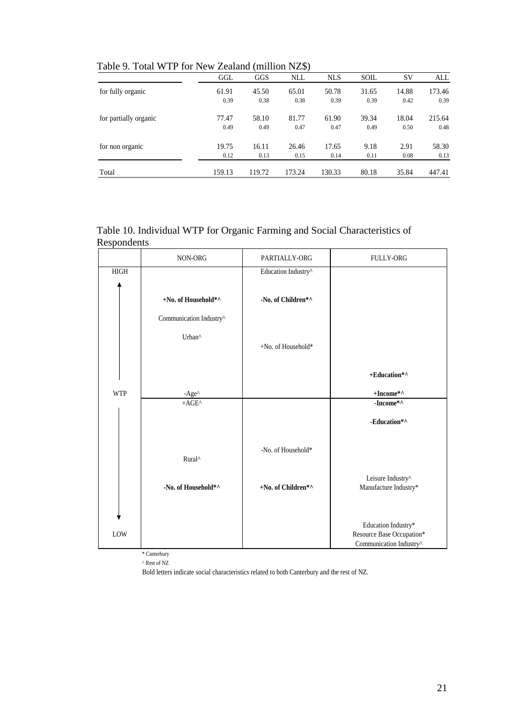|                       | GGL    | GGS    | <b>NLL</b> | <b>NLS</b> | <b>SOIL</b> | <b>SV</b> | ALL    |
|-----------------------|--------|--------|------------|------------|-------------|-----------|--------|
| for fully organic     | 61.91  | 45.50  | 65.01      | 50.78      | 31.65       | 14.88     | 173.46 |
|                       | 0.39   | 0.38   | 0.38       | 0.39       | 0.39        | 0.42      | 0.39   |
| for partially organic | 77.47  | 58.10  | 81.77      | 61.90      | 39.34       | 18.04     | 215.64 |
|                       | 0.49   | 0.49   | 0.47       | 0.47       | 0.49        | 0.50      | 0.48   |
| for non organic       | 19.75  | 16.11  | 26.46      | 17.65      | 9.18        | 2.91      | 58.30  |
|                       | 0.12   | 0.13   | 0.15       | 0.14       | 0.11        | 0.08      | 0.13   |
| Total                 | 159.13 | 119.72 | 173.24     | 130.33     | 80.18       | 35.84     | 447.41 |

Table 9. Total WTP for New Zealand (million NZ\$)

## Table 10. Individual WTP for Organic Farming and Social Characteristics of Respondents

|             | NON-ORG                 | PARTIALLY-ORG       | <b>FULLY-ORG</b>          |
|-------------|-------------------------|---------------------|---------------------------|
| <b>HIGH</b> |                         | Education Industry^ |                           |
|             |                         |                     |                           |
|             | +No. of Household*^     | -No. of Children*^  |                           |
|             | Communication Industry^ |                     |                           |
|             | Urban^                  |                     |                           |
|             |                         | +No. of Household*  |                           |
|             |                         |                     |                           |
|             |                         |                     | +Education*^              |
| <b>WTP</b>  | $-Age^{\wedge}$         |                     | +Income*^                 |
|             | $+AGE^{\wedge}$         |                     | -Income*^                 |
|             |                         |                     | -Education*^              |
|             |                         |                     |                           |
|             | Rural^                  | -No. of Household*  |                           |
|             |                         |                     |                           |
|             |                         |                     | Leisure Industry^         |
|             | -No. of Household*^     | +No. of Children*^  | Manufacture Industry*     |
|             |                         |                     |                           |
|             |                         |                     | Education Industry*       |
| LOW         |                         |                     | Resource Base Occupation* |
|             |                         |                     | Communication Industry^   |
|             | * Canterbury            |                     |                           |

^ Rest of NZ

Bold letters indicate social characteristics related to both Canterbury and the rest of NZ.